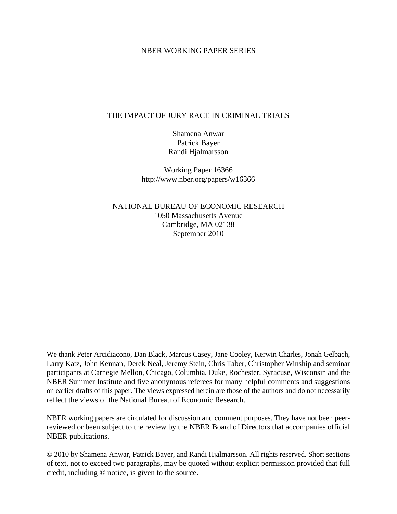### NBER WORKING PAPER SERIES

# THE IMPACT OF JURY RACE IN CRIMINAL TRIALS

Shamena Anwar Patrick Bayer Randi Hjalmarsson

Working Paper 16366 http://www.nber.org/papers/w16366

NATIONAL BUREAU OF ECONOMIC RESEARCH 1050 Massachusetts Avenue Cambridge, MA 02138 September 2010

We thank Peter Arcidiacono, Dan Black, Marcus Casey, Jane Cooley, Kerwin Charles, Jonah Gelbach, Larry Katz, John Kennan, Derek Neal, Jeremy Stein, Chris Taber, Christopher Winship and seminar participants at Carnegie Mellon, Chicago, Columbia, Duke, Rochester, Syracuse, Wisconsin and the NBER Summer Institute and five anonymous referees for many helpful comments and suggestions on earlier drafts of this paper. The views expressed herein are those of the authors and do not necessarily reflect the views of the National Bureau of Economic Research.

NBER working papers are circulated for discussion and comment purposes. They have not been peerreviewed or been subject to the review by the NBER Board of Directors that accompanies official NBER publications.

© 2010 by Shamena Anwar, Patrick Bayer, and Randi Hjalmarsson. All rights reserved. Short sections of text, not to exceed two paragraphs, may be quoted without explicit permission provided that full credit, including © notice, is given to the source.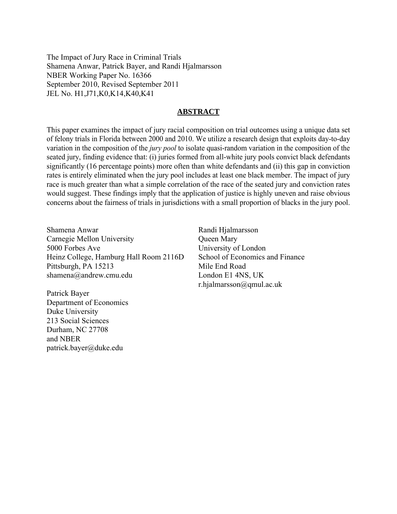The Impact of Jury Race in Criminal Trials Shamena Anwar, Patrick Bayer, and Randi Hjalmarsson NBER Working Paper No. 16366 September 2010, Revised September 2011 JEL No. H1,J71,K0,K14,K40,K41

## **ABSTRACT**

This paper examines the impact of jury racial composition on trial outcomes using a unique data set of felony trials in Florida between 2000 and 2010. We utilize a research design that exploits day-to-day variation in the composition of the *jury pool* to isolate quasi-random variation in the composition of the seated jury, finding evidence that: (i) juries formed from all-white jury pools convict black defendants significantly (16 percentage points) more often than white defendants and (ii) this gap in conviction rates is entirely eliminated when the jury pool includes at least one black member. The impact of jury race is much greater than what a simple correlation of the race of the seated jury and conviction rates would suggest. These findings imply that the application of justice is highly uneven and raise obvious concerns about the fairness of trials in jurisdictions with a small proportion of blacks in the jury pool.

Shamena Anwar Carnegie Mellon University 5000 Forbes Ave Heinz College, Hamburg Hall Room 2116D Pittsburgh, PA 15213 shamena@andrew.cmu.edu

Patrick Bayer Department of Economics Duke University 213 Social Sciences Durham, NC 27708 and NBER patrick.bayer@duke.edu

Randi Hjalmarsson Queen Mary University of London School of Economics and Finance Mile End Road London E1 4NS, UK r.hjalmarsson@qmul.ac.uk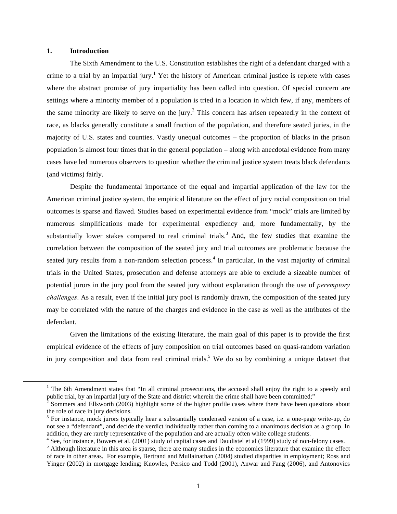#### **1. Introduction**

!!!!!!!!!!!!!!!!!!!!!!!!!!!!!!!!!!!!!!!!!!!!!!!!!!!!!!!!!!!!

 The Sixth Amendment to the U.S. Constitution establishes the right of a defendant charged with a crime to a trial by an impartial jury.<sup>1</sup> Yet the history of American criminal justice is replete with cases where the abstract promise of jury impartiality has been called into question. Of special concern are settings where a minority member of a population is tried in a location in which few, if any, members of the same minority are likely to serve on the jury.<sup>2</sup> This concern has arisen repeatedly in the context of race, as blacks generally constitute a small fraction of the population, and therefore seated juries, in the majority of U.S. states and counties. Vastly unequal outcomes – the proportion of blacks in the prison population is almost four times that in the general population – along with anecdotal evidence from many cases have led numerous observers to question whether the criminal justice system treats black defendants (and victims) fairly.

Despite the fundamental importance of the equal and impartial application of the law for the American criminal justice system, the empirical literature on the effect of jury racial composition on trial outcomes is sparse and flawed. Studies based on experimental evidence from "mock" trials are limited by numerous simplifications made for experimental expediency and, more fundamentally, by the substantially lower stakes compared to real criminal trials.<sup>3</sup> And, the few studies that examine the correlation between the composition of the seated jury and trial outcomes are problematic because the seated jury results from a non-random selection process.<sup>4</sup> In particular, in the vast majority of criminal trials in the United States, prosecution and defense attorneys are able to exclude a sizeable number of potential jurors in the jury pool from the seated jury without explanation through the use of *peremptory challenges*. As a result, even if the initial jury pool is randomly drawn, the composition of the seated jury may be correlated with the nature of the charges and evidence in the case as well as the attributes of the defendant.

Given the limitations of the existing literature, the main goal of this paper is to provide the first empirical evidence of the effects of jury composition on trial outcomes based on quasi-random variation in jury composition and data from real criminal trials.<sup>5</sup> We do so by combining a unique dataset that

<sup>&</sup>lt;sup>1</sup> The 6th Amendment states that "In all criminal prosecutions, the accused shall enjoy the right to a speedy and public trial, by an impartial jury of the State and district wherein the crime shall have been committed;"

 $\bar{2}$  Sommers and Ellsworth (2003) highlight some of the higher profile cases where there have been questions about the role of race in jury decisions.<br><sup>3</sup> For instance, mock jurors typically hear a substantially condensed version of a case, i.e. a one-page write-up, do

not see a "defendant", and decide the verdict individually rather than coming to a unanimous decision as a group. In addition, they are rarely representative of the population and are actually often white college students.<br><sup>4</sup> See, for instance, Bowers et al. (2001) study of capital cases and Daudistel et al (1999) study of non-felony c

of race in other areas. For example, Bertrand and Mullainathan (2004) studied disparities in employment; Ross and Yinger (2002) in mortgage lending; Knowles, Persico and Todd (2001), Anwar and Fang (2006), and Antonovics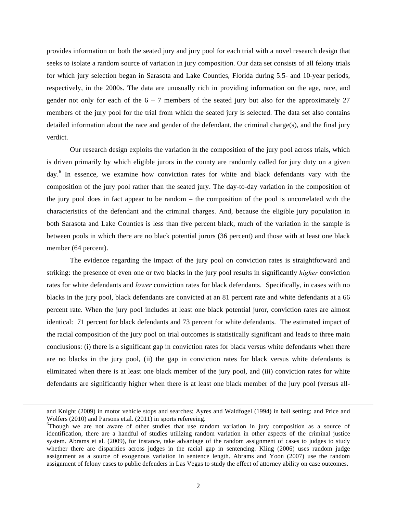provides information on both the seated jury and jury pool for each trial with a novel research design that seeks to isolate a random source of variation in jury composition. Our data set consists of all felony trials for which jury selection began in Sarasota and Lake Counties, Florida during 5.5- and 10-year periods, respectively, in the 2000s. The data are unusually rich in providing information on the age, race, and gender not only for each of the  $6 - 7$  members of the seated jury but also for the approximately 27 members of the jury pool for the trial from which the seated jury is selected. The data set also contains detailed information about the race and gender of the defendant, the criminal charge(s), and the final jury verdict.

Our research design exploits the variation in the composition of the jury pool across trials, which is driven primarily by which eligible jurors in the county are randomly called for jury duty on a given day.<sup>6</sup> In essence, we examine how conviction rates for white and black defendants vary with the composition of the jury pool rather than the seated jury. The day-to-day variation in the composition of the jury pool does in fact appear to be random – the composition of the pool is uncorrelated with the characteristics of the defendant and the criminal charges. And, because the eligible jury population in both Sarasota and Lake Counties is less than five percent black, much of the variation in the sample is between pools in which there are no black potential jurors (36 percent) and those with at least one black member (64 percent).

The evidence regarding the impact of the jury pool on conviction rates is straightforward and striking: the presence of even one or two blacks in the jury pool results in significantly *higher* conviction rates for white defendants and *lower* conviction rates for black defendants. Specifically, in cases with no blacks in the jury pool, black defendants are convicted at an 81 percent rate and white defendants at a 66 percent rate. When the jury pool includes at least one black potential juror, conviction rates are almost identical: 71 percent for black defendants and 73 percent for white defendants. The estimated impact of the racial composition of the jury pool on trial outcomes is statistically significant and leads to three main conclusions: (i) there is a significant gap in conviction rates for black versus white defendants when there are no blacks in the jury pool, (ii) the gap in conviction rates for black versus white defendants is eliminated when there is at least one black member of the jury pool, and (iii) conviction rates for white defendants are significantly higher when there is at least one black member of the jury pool (versus all-

<sup>&</sup>lt;u> 1989 - Andrea Santa Andrea Andrea Andrea Andrea Andrea Andrea Andrea Andrea Andrea Andrea Andrea Andrea Andr</u> and Knight (2009) in motor vehicle stops and searches; Ayres and Waldfogel (1994) in bail setting; and Price and Wolfers (2010) and Parsons et.al. (2011) in sports refereeing.

<sup>&</sup>lt;sup>6</sup>Though we are not aware of other studies that use random variation in jury composition as a source of identification, there are a handful of studies utilizing random variation in other aspects of the criminal justice system. Abrams et al. (2009), for instance, take advantage of the random assignment of cases to judges to study whether there are disparities across judges in the racial gap in sentencing. Kling (2006) uses random judge assignment as a source of exogenous variation in sentence length. Abrams and Yoon (2007) use the random assignment of felony cases to public defenders in Las Vegas to study the effect of attorney ability on case outcomes.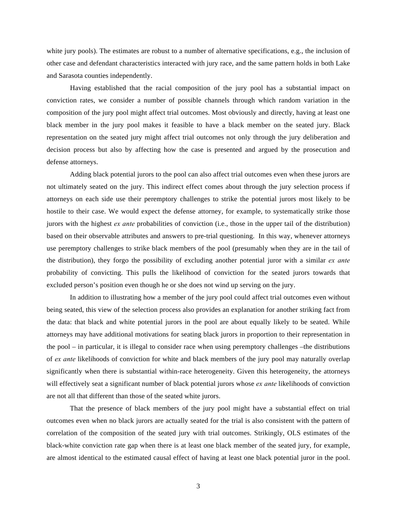white jury pools). The estimates are robust to a number of alternative specifications, e.g., the inclusion of other case and defendant characteristics interacted with jury race, and the same pattern holds in both Lake and Sarasota counties independently.

Having established that the racial composition of the jury pool has a substantial impact on conviction rates, we consider a number of possible channels through which random variation in the composition of the jury pool might affect trial outcomes. Most obviously and directly, having at least one black member in the jury pool makes it feasible to have a black member on the seated jury. Black representation on the seated jury might affect trial outcomes not only through the jury deliberation and decision process but also by affecting how the case is presented and argued by the prosecution and defense attorneys.

Adding black potential jurors to the pool can also affect trial outcomes even when these jurors are not ultimately seated on the jury. This indirect effect comes about through the jury selection process if attorneys on each side use their peremptory challenges to strike the potential jurors most likely to be hostile to their case. We would expect the defense attorney, for example, to systematically strike those jurors with the highest *ex ante* probabilities of conviction (i.e., those in the upper tail of the distribution) based on their observable attributes and answers to pre-trial questioning. In this way, whenever attorneys use peremptory challenges to strike black members of the pool (presumably when they are in the tail of the distribution), they forgo the possibility of excluding another potential juror with a similar *ex ante* probability of convicting. This pulls the likelihood of conviction for the seated jurors towards that excluded person's position even though he or she does not wind up serving on the jury.

In addition to illustrating how a member of the jury pool could affect trial outcomes even without being seated, this view of the selection process also provides an explanation for another striking fact from the data: that black and white potential jurors in the pool are about equally likely to be seated. While attorneys may have additional motivations for seating black jurors in proportion to their representation in the pool – in particular, it is illegal to consider race when using peremptory challenges –the distributions of *ex ante* likelihoods of conviction for white and black members of the jury pool may naturally overlap significantly when there is substantial within-race heterogeneity. Given this heterogeneity, the attorneys will effectively seat a significant number of black potential jurors whose *ex ante* likelihoods of conviction are not all that different than those of the seated white jurors.

That the presence of black members of the jury pool might have a substantial effect on trial outcomes even when no black jurors are actually seated for the trial is also consistent with the pattern of correlation of the composition of the seated jury with trial outcomes. Strikingly, OLS estimates of the black-white conviction rate gap when there is at least one black member of the seated jury, for example, are almost identical to the estimated causal effect of having at least one black potential juror in the pool.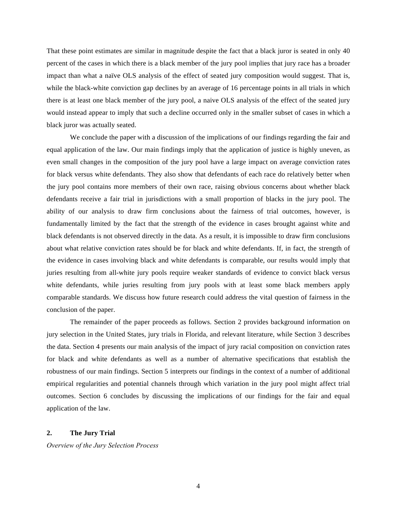That these point estimates are similar in magnitude despite the fact that a black juror is seated in only 40 percent of the cases in which there is a black member of the jury pool implies that jury race has a broader impact than what a naïve OLS analysis of the effect of seated jury composition would suggest. That is, while the black-white conviction gap declines by an average of 16 percentage points in all trials in which there is at least one black member of the jury pool, a naive OLS analysis of the effect of the seated jury would instead appear to imply that such a decline occurred only in the smaller subset of cases in which a black juror was actually seated.

We conclude the paper with a discussion of the implications of our findings regarding the fair and equal application of the law. Our main findings imply that the application of justice is highly uneven, as even small changes in the composition of the jury pool have a large impact on average conviction rates for black versus white defendants. They also show that defendants of each race do relatively better when the jury pool contains more members of their own race, raising obvious concerns about whether black defendants receive a fair trial in jurisdictions with a small proportion of blacks in the jury pool. The ability of our analysis to draw firm conclusions about the fairness of trial outcomes, however, is fundamentally limited by the fact that the strength of the evidence in cases brought against white and black defendants is not observed directly in the data. As a result, it is impossible to draw firm conclusions about what relative conviction rates should be for black and white defendants. If, in fact, the strength of the evidence in cases involving black and white defendants is comparable, our results would imply that juries resulting from all-white jury pools require weaker standards of evidence to convict black versus white defendants, while juries resulting from jury pools with at least some black members apply comparable standards. We discuss how future research could address the vital question of fairness in the conclusion of the paper.

The remainder of the paper proceeds as follows. Section 2 provides background information on jury selection in the United States, jury trials in Florida, and relevant literature, while Section 3 describes the data. Section 4 presents our main analysis of the impact of jury racial composition on conviction rates for black and white defendants as well as a number of alternative specifications that establish the robustness of our main findings. Section 5 interprets our findings in the context of a number of additional empirical regularities and potential channels through which variation in the jury pool might affect trial outcomes. Section 6 concludes by discussing the implications of our findings for the fair and equal application of the law.

#### **2. The Jury Trial**

*Overview of the Jury Selection Process*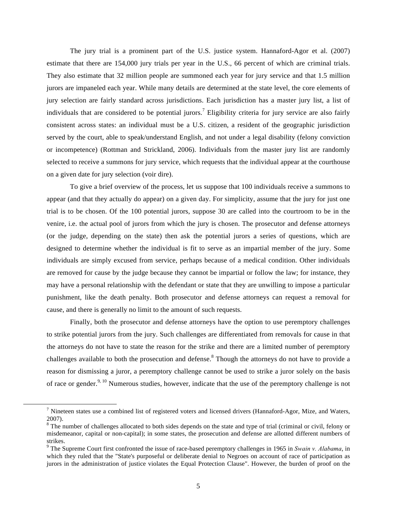The jury trial is a prominent part of the U.S. justice system. Hannaford-Agor et al. (2007) estimate that there are 154,000 jury trials per year in the U.S., 66 percent of which are criminal trials. They also estimate that 32 million people are summoned each year for jury service and that 1.5 million jurors are impaneled each year. While many details are determined at the state level, the core elements of jury selection are fairly standard across jurisdictions. Each jurisdiction has a master jury list, a list of individuals that are considered to be potential jurors.<sup>7</sup> Eligibility criteria for jury service are also fairly consistent across states: an individual must be a U.S. citizen, a resident of the geographic jurisdiction served by the court, able to speak/understand English, and not under a legal disability (felony conviction or incompetence) (Rottman and Strickland, 2006). Individuals from the master jury list are randomly selected to receive a summons for jury service, which requests that the individual appear at the courthouse on a given date for jury selection (voir dire).

To give a brief overview of the process, let us suppose that 100 individuals receive a summons to appear (and that they actually do appear) on a given day. For simplicity, assume that the jury for just one trial is to be chosen. Of the 100 potential jurors, suppose 30 are called into the courtroom to be in the venire, i.e. the actual pool of jurors from which the jury is chosen. The prosecutor and defense attorneys (or the judge, depending on the state) then ask the potential jurors a series of questions, which are designed to determine whether the individual is fit to serve as an impartial member of the jury. Some individuals are simply excused from service, perhaps because of a medical condition. Other individuals are removed for cause by the judge because they cannot be impartial or follow the law; for instance, they may have a personal relationship with the defendant or state that they are unwilling to impose a particular punishment, like the death penalty. Both prosecutor and defense attorneys can request a removal for cause, and there is generally no limit to the amount of such requests.

 Finally, both the prosecutor and defense attorneys have the option to use peremptory challenges to strike potential jurors from the jury. Such challenges are differentiated from removals for cause in that the attorneys do not have to state the reason for the strike and there are a limited number of peremptory challenges available to both the prosecution and defense.<sup>8</sup> Though the attorneys do not have to provide a reason for dismissing a juror, a peremptory challenge cannot be used to strike a juror solely on the basis of race or gender.<sup>9, 10</sup> Numerous studies, however, indicate that the use of the peremptory challenge is not

 $^7$  Nineteen states use a combined list of registered voters and licensed drivers (Hannaford-Agor, Mize, and Waters, 2007).

 $8$  The number of challenges allocated to both sides depends on the state and type of trial (criminal or civil, felony or misdemeanor, capital or non-capital); in some states, the prosecution and defense are allotted different numbers of strikes.

<sup>&</sup>lt;sup>9</sup> The Supreme Court first confronted the issue of race-based peremptory challenges in 1965 in *Swain v. Alabama*, in which they ruled that the "State's purposeful or deliberate denial to Negroes on account of race of participation as jurors in the administration of justice violates the Equal Protection Clause". However, the burden of proof on the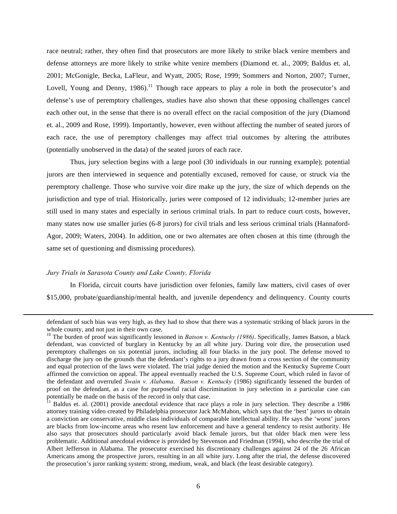race neutral; rather, they often find that prosecutors are more likely to strike black venire members and defense attorneys are more likely to strike white venire members (Diamond et. al., 2009; Baldus et. al, 2001; McGonigle, Becka, LaFleur, and Wyatt, 2005; Rose, 1999; Sommers and Norton, 2007; Turner, Lovell, Young and Denny, 1986).<sup>11</sup> Though race appears to play a role in both the prosecutor's and defense's use of peremptory challenges, studies have also shown that these opposing challenges cancel each other out, in the sense that there is no overall effect on the racial composition of the jury (Diamond et. al., 2009 and Rose, 1999). Importantly, however, even without affecting the number of seated jurors of each race, the use of peremptory challenges may affect trial outcomes by altering the attributes (potentially unobserved in the data) of the seated jurors of each race.

Thus, jury selection begins with a large pool (30 individuals in our running example); potential jurors are then interviewed in sequence and potentially excused, removed for cause, or struck via the peremptory challenge. Those who survive voir dire make up the jury, the size of which depends on the jurisdiction and type of trial. Historically, juries were composed of 12 individuals; 12-member juries are still used in many states and especially in serious criminal trials. In part to reduce court costs, however, many states now use smaller juries (6-8 jurors) for civil trials and less serious criminal trials (Hannaford-Agor, 2009; Waters, 2004). In addition, one or two alternates are often chosen at this time (through the same set of questioning and dismissing procedures).

#### *Jury Trials in Sarasota County and Lake County, Florida*

In Florida, circuit courts have jurisdiction over felonies, family law matters, civil cases of over \$15,000, probate/guardianship/mental health, and juvenile dependency and delinquency. County courts

<sup>&</sup>lt;u> 1989 - Andrea Santa Andrea Andrea Andrea Andrea Andrea Andrea Andrea Andrea Andrea Andrea Andrea Andrea Andr</u> defendant of such bias was very high, as they had to show that there was a systematic striking of black jurors in the whole county, and not just in their own case.<br><sup>10</sup> The burden of proof was significantly lessoned in *Batson v. Kentucky (1986)*. Specifically, James Batson, a black

defendant, was convicted of burglary in Kentucky by an all white jury. During voir dire, the prosecution used peremptory challenges on six potential jurors, including all four blacks in the jury pool. The defense moved to discharge the jury on the grounds that the defendant's rights to a jury drawn from a cross section of the community and equal protection of the laws were violated. The trial judge denied the motion and the Kentucky Supreme Court affirmed the conviction on appeal. The appeal eventually reached the U.S. Supreme Court, which ruled in favor of the defendant and overruled *Swain v. Alabama*. *Batson v. Kentucky* (1986) significantly lessened the burden of proof on the defendant, as a case for purposeful racial discrimination in jury selection in a particular case can potentially be made on the basis of the record in only that case.<br><sup>11</sup> Baldus et. al. (2001) provide anecdotal evidence that race plays a role in jury selection. They describe a 1986

attorney training video created by Philadelphia prosecutor Jack McMahon, which says that the 'best' jurors to obtain a conviction are conservative, middle class individuals of comparable intellectual ability. He says the 'worst' jurors are blacks from low-income areas who resent law enforcement and have a general tendency to resist authority. He also says that prosecutors should particularly avoid black female jurors, but that older black men were less problematic. Additional anecdotal evidence is provided by Stevenson and Friedman (1994), who describe the trial of Albert Jefferson in Alabama. The prosecutor exercised his discretionary challenges against 24 of the 26 African Americans among the prospective jurors, resulting in an all white jury. Long after the trial, the defense discovered the prosecution's juror ranking system: strong, medium, weak, and black (the least desirable category).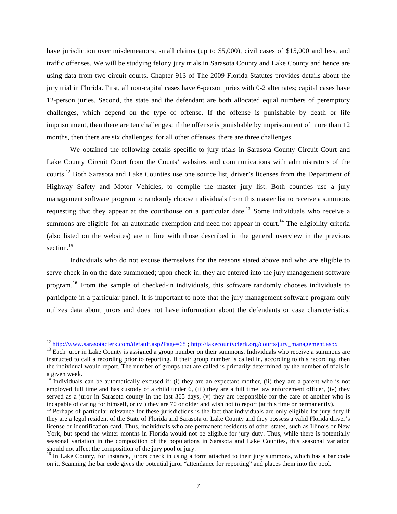have jurisdiction over misdemeanors, small claims (up to \$5,000), civil cases of \$15,000 and less, and traffic offenses. We will be studying felony jury trials in Sarasota County and Lake County and hence are using data from two circuit courts. Chapter 913 of The 2009 Florida Statutes provides details about the jury trial in Florida. First, all non-capital cases have 6-person juries with 0-2 alternates; capital cases have 12-person juries. Second, the state and the defendant are both allocated equal numbers of peremptory challenges, which depend on the type of offense. If the offense is punishable by death or life imprisonment, then there are ten challenges; if the offense is punishable by imprisonment of more than 12 months, then there are six challenges; for all other offenses, there are three challenges.

We obtained the following details specific to jury trials in Sarasota County Circuit Court and Lake County Circuit Court from the Courts' websites and communications with administrators of the courts.<sup>12</sup> Both Sarasota and Lake Counties use one source list, driver's licenses from the Department of Highway Safety and Motor Vehicles, to compile the master jury list. Both counties use a jury management software program to randomly choose individuals from this master list to receive a summons requesting that they appear at the courthouse on a particular date.<sup>13</sup> Some individuals who receive a summons are eligible for an automatic exemption and need not appear in court.<sup>14</sup> The eligibility criteria (also listed on the websites) are in line with those described in the general overview in the previous section.<sup>15</sup>

Individuals who do not excuse themselves for the reasons stated above and who are eligible to serve check-in on the date summoned; upon check-in, they are entered into the jury management software program.<sup>16</sup> From the sample of checked-in individuals, this software randomly chooses individuals to participate in a particular panel. It is important to note that the jury management software program only utilizes data about jurors and does not have information about the defendants or case characteristics.

 $\frac{12 \text{ http://www.sarasotackerk.com/default.asp?Page=68; http://akecountyclerk.org/courts/jury management.aspx}{\text{Each juror in Lake County is assigned a group number on their summons. Individuals who receive a summons are}$ 

instructed to call a recording prior to reporting. If their group number is called in, according to this recording, then the individual would report. The number of groups that are called is primarily determined by the number of trials in a given week.

 $14$  Individuals can be automatically excused if: (i) they are an expectant mother, (ii) they are a parent who is not employed full time and has custody of a child under 6, (iii) they are a full time law enforcement officer, (iv) they served as a juror in Sarasota county in the last 365 days, (v) they are responsible for the care of another who is incapable of caring for himself, or (vi) they are 70 or older and wish not to report (at this time or permanently).

 $15$  Perhaps of particular relevance for these jurisdictions is the fact that individuals are only eligible for jury duty if they are a legal resident of the State of Florida and Sarasota or Lake County and they possess a valid Florida driver's license or identification card. Thus, individuals who are permanent residents of other states, such as Illinois or New York, but spend the winter months in Florida would not be eligible for jury duty. Thus, while there is potentially seasonal variation in the composition of the populations in Sarasota and Lake Counties, this seasonal variation should not affect the composition of the jury pool or jury.

<sup>&</sup>lt;sup>16</sup> In Lake County, for instance, jurors check in using a form attached to their jury summons, which has a bar code on it. Scanning the bar code gives the potential juror "attendance for reporting" and places them into the pool.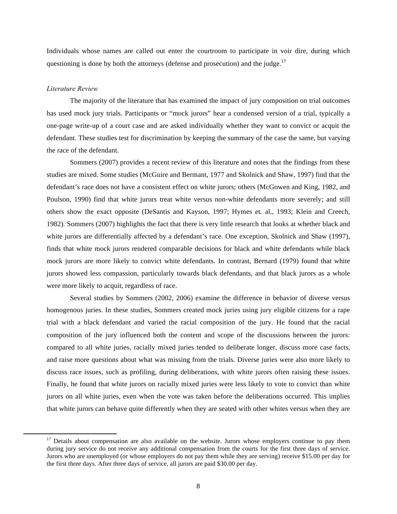Individuals whose names are called out enter the courtroom to participate in voir dire, during which questioning is done by both the attorneys (defense and prosecution) and the judge. $17$ 

#### *Literature Review*

The majority of the literature that has examined the impact of jury composition on trial outcomes has used mock jury trials. Participants or "mock jurors" hear a condensed version of a trial, typically a one-page write-up of a court case and are asked individually whether they want to convict or acquit the defendant. These studies test for discrimination by keeping the summary of the case the same, but varying the race of the defendant.

Sommers (2007) provides a recent review of this literature and notes that the findings from these studies are mixed. Some studies (McGuire and Bermant, 1977 and Skolnick and Shaw, 1997) find that the defendant's race does not have a consistent effect on white jurors; others (McGowen and King, 1982, and Poulson, 1990) find that white jurors treat white versus non-white defendants more severely; and still others show the exact opposite (DeSantis and Kayson, 1997; Hymes et. al., 1993; Klein and Creech, 1982). Sommers (2007) highlights the fact that there is very little research that looks at whether black and white jurors are differentially affected by a defendant's race. One exception, Skolnick and Shaw (1997), finds that white mock jurors rendered comparable decisions for black and white defendants while black mock jurors are more likely to convict white defendants. In contrast, Bernard (1979) found that white jurors showed less compassion, particularly towards black defendants, and that black jurors as a whole were more likely to acquit, regardless of race.

Several studies by Sommers (2002, 2006) examine the difference in behavior of diverse versus homogenous juries. In these studies, Sommers created mock juries using jury eligible citizens for a rape trial with a black defendant and varied the racial composition of the jury. He found that the racial composition of the jury influenced both the content and scope of the discussions between the jurors: compared to all white juries, racially mixed juries tended to deliberate longer, discuss more case facts, and raise more questions about what was missing from the trials. Diverse juries were also more likely to discuss race issues, such as profiling, during deliberations, with white jurors often raising these issues. Finally, he found that white jurors on racially mixed juries were less likely to vote to convict than white jurors on all white juries, even when the vote was taken before the deliberations occurred. This implies that white jurors can behave quite differently when they are seated with other whites versus when they are

 $17$  Details about compensation are also available on the website. Jurors whose employers continue to pay them during jury service do not receive any additional compensation from the courts for the first three days of service. Jurors who are unemployed (or whose employers do not pay them while they are serving) receive \$15.00 per day for the first three days. After three days of service, all jurors are paid \$30.00 per day.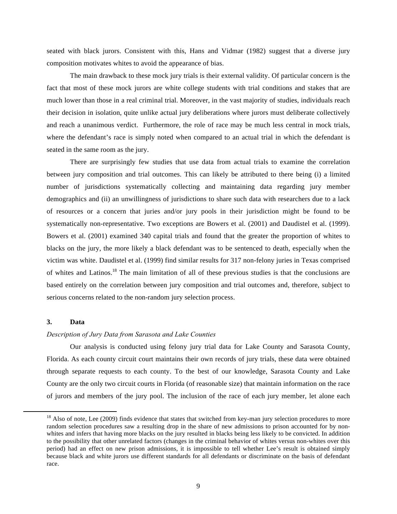seated with black jurors. Consistent with this, Hans and Vidmar (1982) suggest that a diverse jury composition motivates whites to avoid the appearance of bias.

The main drawback to these mock jury trials is their external validity. Of particular concern is the fact that most of these mock jurors are white college students with trial conditions and stakes that are much lower than those in a real criminal trial. Moreover, in the vast majority of studies, individuals reach their decision in isolation, quite unlike actual jury deliberations where jurors must deliberate collectively and reach a unanimous verdict. Furthermore, the role of race may be much less central in mock trials, where the defendant's race is simply noted when compared to an actual trial in which the defendant is seated in the same room as the jury.

There are surprisingly few studies that use data from actual trials to examine the correlation between jury composition and trial outcomes. This can likely be attributed to there being (i) a limited number of jurisdictions systematically collecting and maintaining data regarding jury member demographics and (ii) an unwillingness of jurisdictions to share such data with researchers due to a lack of resources or a concern that juries and/or jury pools in their jurisdiction might be found to be systematically non-representative. Two exceptions are Bowers et al. (2001) and Daudistel et al. (1999). Bowers et al. (2001) examined 340 capital trials and found that the greater the proportion of whites to blacks on the jury, the more likely a black defendant was to be sentenced to death, especially when the victim was white. Daudistel et al. (1999) find similar results for 317 non-felony juries in Texas comprised of whites and Latinos.<sup>18</sup> The main limitation of all of these previous studies is that the conclusions are based entirely on the correlation between jury composition and trial outcomes and, therefore, subject to serious concerns related to the non-random jury selection process.

### **3. Data**

!!!!!!!!!!!!!!!!!!!!!!!!!!!!!!!!!!!!!!!!!!!!!!!!!!!!!!!!!!!!

#### *Description of Jury Data from Sarasota and Lake Counties*

Our analysis is conducted using felony jury trial data for Lake County and Sarasota County, Florida. As each county circuit court maintains their own records of jury trials, these data were obtained through separate requests to each county. To the best of our knowledge, Sarasota County and Lake County are the only two circuit courts in Florida (of reasonable size) that maintain information on the race of jurors and members of the jury pool. The inclusion of the race of each jury member, let alone each

<sup>&</sup>lt;sup>18</sup> Also of note, Lee (2009) finds evidence that states that switched from key-man jury selection procedures to more random selection procedures saw a resulting drop in the share of new admissions to prison accounted for by nonwhites and infers that having more blacks on the jury resulted in blacks being less likely to be convicted. In addition to the possibility that other unrelated factors (changes in the criminal behavior of whites versus non-whites over this period) had an effect on new prison admissions, it is impossible to tell whether Lee's result is obtained simply because black and white jurors use different standards for all defendants or discriminate on the basis of defendant race.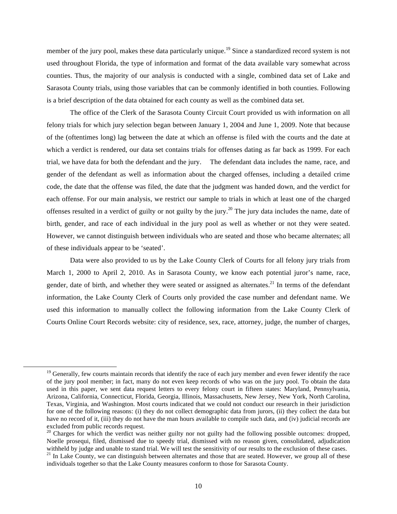member of the jury pool, makes these data particularly unique.<sup>19</sup> Since a standardized record system is not used throughout Florida, the type of information and format of the data available vary somewhat across counties. Thus, the majority of our analysis is conducted with a single, combined data set of Lake and Sarasota County trials, using those variables that can be commonly identified in both counties. Following is a brief description of the data obtained for each county as well as the combined data set.

 The office of the Clerk of the Sarasota County Circuit Court provided us with information on all felony trials for which jury selection began between January 1, 2004 and June 1, 2009. Note that because of the (oftentimes long) lag between the date at which an offense is filed with the courts and the date at which a verdict is rendered, our data set contains trials for offenses dating as far back as 1999. For each trial, we have data for both the defendant and the jury. The defendant data includes the name, race, and gender of the defendant as well as information about the charged offenses, including a detailed crime code, the date that the offense was filed, the date that the judgment was handed down, and the verdict for each offense. For our main analysis, we restrict our sample to trials in which at least one of the charged offenses resulted in a verdict of guilty or not guilty by the jury.<sup>20</sup> The jury data includes the name, date of birth, gender, and race of each individual in the jury pool as well as whether or not they were seated. However, we cannot distinguish between individuals who are seated and those who became alternates; all of these individuals appear to be 'seated'.

Data were also provided to us by the Lake County Clerk of Courts for all felony jury trials from March 1, 2000 to April 2, 2010. As in Sarasota County, we know each potential juror's name, race, gender, date of birth, and whether they were seated or assigned as alternates.<sup>21</sup> In terms of the defendant information, the Lake County Clerk of Courts only provided the case number and defendant name. We used this information to manually collect the following information from the Lake County Clerk of Courts Online Court Records website: city of residence, sex, race, attorney, judge, the number of charges,

<sup>&</sup>lt;sup>19</sup> Generally, few courts maintain records that identify the race of each jury member and even fewer identify the race of the jury pool member; in fact, many do not even keep records of who was on the jury pool. To obtain the data used in this paper, we sent data request letters to every felony court in fifteen states: Maryland, Pennsylvania, Arizona, California, Connecticut, Florida, Georgia, Illinois, Massachusetts, New Jersey, New York, North Carolina, Texas, Virginia, and Washington. Most courts indicated that we could not conduct our research in their jurisdiction for one of the following reasons: (i) they do not collect demographic data from jurors, (ii) they collect the data but have no record of it, (iii) they do not have the man hours available to compile such data, and (iv) judicial records are excluded from public records request.

<sup>&</sup>lt;sup>20</sup> Charges for which the verdict was neither guilty nor not guilty had the following possible outcomes: dropped, Noelle prosequi, filed, dismissed due to speedy trial, dismissed with no reason given, consolidated, adjudication withheld by judge and unable to stand trial. We will test the sensitivity of our results to the exclusion of these cases.

 $21$  In Lake County, we can distinguish between alternates and those that are seated. However, we group all of these individuals together so that the Lake County measures conform to those for Sarasota County.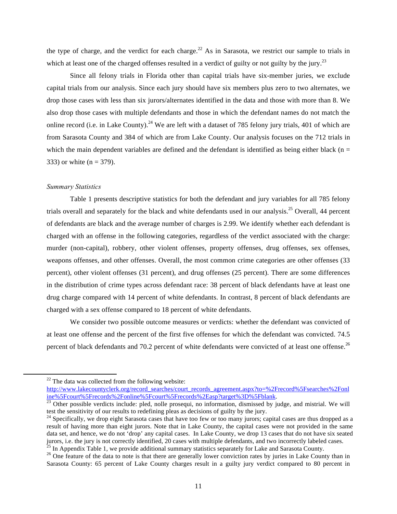the type of charge, and the verdict for each charge.<sup>22</sup> As in Sarasota, we restrict our sample to trials in which at least one of the charged offenses resulted in a verdict of guilty or not guilty by the jury.<sup>23</sup>

Since all felony trials in Florida other than capital trials have six-member juries, we exclude capital trials from our analysis. Since each jury should have six members plus zero to two alternates, we drop those cases with less than six jurors/alternates identified in the data and those with more than 8. We also drop those cases with multiple defendants and those in which the defendant names do not match the online record (i.e. in Lake County).<sup>24</sup> We are left with a dataset of 785 felony jury trials, 401 of which are from Sarasota County and 384 of which are from Lake County. Our analysis focuses on the 712 trials in which the main dependent variables are defined and the defendant is identified as being either black ( $n =$ 333) or white  $(n = 379)$ .

#### *Summary Statistics*

!!!!!!!!!!!!!!!!!!!!!!!!!!!!!!!!!!!!!!!!!!!!!!!!!!!!!!!!!!!!

Table 1 presents descriptive statistics for both the defendant and jury variables for all 785 felony trials overall and separately for the black and white defendants used in our analysis.<sup>25</sup> Overall, 44 percent of defendants are black and the average number of charges is 2.99. We identify whether each defendant is charged with an offense in the following categories, regardless of the verdict associated with the charge: murder (non-capital), robbery, other violent offenses, property offenses, drug offenses, sex offenses, weapons offenses, and other offenses. Overall, the most common crime categories are other offenses (33 percent), other violent offenses (31 percent), and drug offenses (25 percent). There are some differences in the distribution of crime types across defendant race: 38 percent of black defendants have at least one drug charge compared with 14 percent of white defendants. In contrast, 8 percent of black defendants are charged with a sex offense compared to 18 percent of white defendants.

We consider two possible outcome measures or verdicts: whether the defendant was convicted of at least one offense and the percent of the first five offenses for which the defendant was convicted. 74.5 percent of black defendants and 70.2 percent of white defendants were convicted of at least one offense.<sup>26</sup>

http://www.lakecountyclerk.org/record\_searches/court\_records\_agreement.aspx?to=%2Frecord%5Fsearches%2Fonl ine%5Fcourt%5Frecords%2Fonline%5Fcourt%5Frecords%2Easp?target%3D%5Fblank.<br><sup>23</sup> Other possible verdicts include: pled, nolle prosequi, no information, dismissed by judge, and mistrial. We will

 $22$  The data was collected from the following website:

test the sensitivity of our results to redefining pleas as decisions of guilty by the jury.<br><sup>24</sup> Specifically, we drop eight Sarasota cases that have too few or too many jurors; capital cases are thus dropped as a

result of having more than eight jurors. Note that in Lake County, the capital cases were not provided in the same data set, and hence, we do not 'drop' any capital cases. In Lake County, we drop 13 cases that do not have six seated jurors, i.e. the jury is not correctly identified, 20 cases with multiple defendants, and two incorrectl  $25$  In Appendix Table 1, we provide additional summary statistics separately for Lake and Sarasota County.

<sup>&</sup>lt;sup>26</sup> One feature of the data to note is that there are generally lower conviction rates by juries in Lake County than in Sarasota County: 65 percent of Lake County charges result in a guilty jury verdict compared to 80 percent in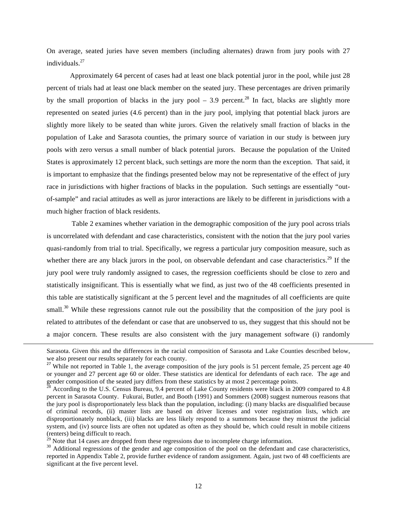On average, seated juries have seven members (including alternates) drawn from jury pools with 27 individuals.<sup>27</sup>

Approximately 64 percent of cases had at least one black potential juror in the pool, while just 28 percent of trials had at least one black member on the seated jury. These percentages are driven primarily by the small proportion of blacks in the jury pool – 3.9 percent.<sup>28</sup> In fact, blacks are slightly more represented on seated juries (4.6 percent) than in the jury pool, implying that potential black jurors are slightly more likely to be seated than white jurors. Given the relatively small fraction of blacks in the population of Lake and Sarasota counties, the primary source of variation in our study is between jury pools with zero versus a small number of black potential jurors. Because the population of the United States is approximately 12 percent black, such settings are more the norm than the exception. That said, it is important to emphasize that the findings presented below may not be representative of the effect of jury race in jurisdictions with higher fractions of blacks in the population. Such settings are essentially "outof-sample" and racial attitudes as well as juror interactions are likely to be different in jurisdictions with a much higher fraction of black residents.

 Table 2 examines whether variation in the demographic composition of the jury pool across trials is uncorrelated with defendant and case characteristics, consistent with the notion that the jury pool varies quasi-randomly from trial to trial. Specifically, we regress a particular jury composition measure, such as whether there are any black jurors in the pool, on observable defendant and case characteristics.<sup>29</sup> If the jury pool were truly randomly assigned to cases, the regression coefficients should be close to zero and statistically insignificant. This is essentially what we find, as just two of the 48 coefficients presented in this table are statistically significant at the 5 percent level and the magnitudes of all coefficients are quite small.<sup>30</sup> While these regressions cannot rule out the possibility that the composition of the jury pool is related to attributes of the defendant or case that are unobserved to us, they suggest that this should not be a major concern. These results are also consistent with the jury management software (i) randomly

 $29$  Note that 14 cases are dropped from these regressions due to incomplete charge information.

<sup>&</sup>lt;u> 1989 - Andrea Santa Alemania, amerikana amerikana amerikana amerikana amerikana amerikana amerikana amerikan</u> Sarasota. Given this and the differences in the racial composition of Sarasota and Lake Counties described below, we also present our results separately for each county.<br><sup>27</sup> While not reported in Table 1, the average composition of the jury pools is 51 percent female, 25 percent age 40

or younger and 27 percent age 60 or older. These statistics are identical for defendants of each race. The age and gender composition of the seated jury differs from these statistics by at most 2 percentage points.<br><sup>28</sup> According to the U.S. Census Bureau, 9.4 percent of Lake County residents were black in 2009 compared to 4.8

percent in Sarasota County. Fukurai, Butler, and Booth (1991) and Sommers (2008) suggest numerous reasons that the jury pool is disproportionately less black than the population, including: (i) many blacks are disqualified because of criminal records, (ii) master lists are based on driver licenses and voter registration lists, which are disproportionately nonblack, (iii) blacks are less likely respond to a summons because they mistrust the judicial system, and (iv) source lists are often not updated as often as they should be, which could result in mobile citizens (renters) being difficult to reach.

<sup>&</sup>lt;sup>30</sup> Additional regressions of the gender and age composition of the pool on the defendant and case characteristics, reported in Appendix Table 2, provide further evidence of random assignment. Again, just two of 48 coefficients are significant at the five percent level.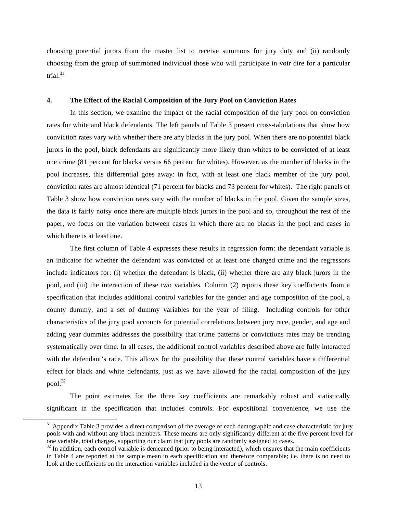choosing potential jurors from the master list to receive summons for jury duty and (ii) randomly choosing from the group of summoned individual those who will participate in voir dire for a particular trial. 31

### **4. The Effect of the Racial Composition of the Jury Pool on Conviction Rates**

In this section, we examine the impact of the racial composition of the jury pool on conviction rates for white and black defendants. The left panels of Table 3 present cross-tabulations that show how conviction rates vary with whether there are any blacks in the jury pool. When there are no potential black jurors in the pool, black defendants are significantly more likely than whites to be convicted of at least one crime (81 percent for blacks versus 66 percent for whites). However, as the number of blacks in the pool increases, this differential goes away: in fact, with at least one black member of the jury pool, conviction rates are almost identical (71 percent for blacks and 73 percent for whites). The right panels of Table 3 show how conviction rates vary with the number of blacks in the pool. Given the sample sizes, the data is fairly noisy once there are multiple black jurors in the pool and so, throughout the rest of the paper, we focus on the variation between cases in which there are no blacks in the pool and cases in which there is at least one.

 The first column of Table 4 expresses these results in regression form: the dependant variable is an indicator for whether the defendant was convicted of at least one charged crime and the regressors include indicators for: (i) whether the defendant is black, (ii) whether there are any black jurors in the pool, and (iii) the interaction of these two variables. Column (2) reports these key coefficients from a specification that includes additional control variables for the gender and age composition of the pool, a county dummy, and a set of dummy variables for the year of filing. Including controls for other characteristics of the jury pool accounts for potential correlations between jury race, gender, and age and adding year dummies addresses the possibility that crime patterns or convictions rates may be trending systematically over time. In all cases, the additional control variables described above are fully interacted with the defendant's race. This allows for the possibility that these control variables have a differential effect for black and white defendants, just as we have allowed for the racial composition of the jury  $pool.<sup>32</sup>$ 

The point estimates for the three key coefficients are remarkably robust and statistically significant in the specification that includes controls. For expositional convenience, we use the

 $31$  Appendix Table 3 provides a direct comparison of the average of each demographic and case characteristic for jury pools with and without any black members. These means are only significantly different at the five percent level for one variable, total charges, supporting our claim that jury pools are randomly assigned to cases.

 $32$  In addition, each control variable is demeaned (prior to being interacted), which ensures that the main coefficients in Table 4 are reported at the sample mean in each specification and therefore comparable; i.e. there is no need to look at the coefficients on the interaction variables included in the vector of controls.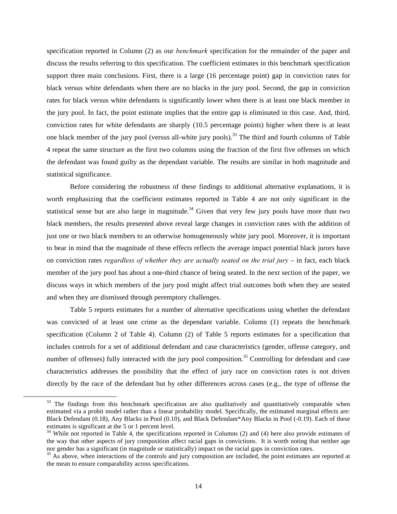specification reported in Column (2) as our *benchmark* specification for the remainder of the paper and discuss the results referring to this specification. The coefficient estimates in this benchmark specification support three main conclusions. First, there is a large (16 percentage point) gap in conviction rates for black versus white defendants when there are no blacks in the jury pool. Second, the gap in conviction rates for black versus white defendants is significantly lower when there is at least one black member in the jury pool. In fact, the point estimate implies that the entire gap is eliminated in this case. And, third, conviction rates for white defendants are sharply (10.5 percentage points) higher when there is at least one black member of the jury pool (versus all-white jury pools).<sup>33</sup> The third and fourth columns of Table 4 repeat the same structure as the first two columns using the fraction of the first five offenses on which the defendant was found guilty as the dependant variable. The results are similar in both magnitude and statistical significance.

Before considering the robustness of these findings to additional alternative explanations, it is worth emphasizing that the coefficient estimates reported in Table 4 are not only significant in the statistical sense but are also large in magnitude.<sup>34</sup> Given that very few jury pools have more than two black members, the results presented above reveal large changes in conviction rates with the addition of just one or two black members to an otherwise homogeneously white jury pool. Moreover, it is important to bear in mind that the magnitude of these effects reflects the average impact potential black jurors have on conviction rates *regardless of whether they are actually seated on the trial jury –* in fact, each black member of the jury pool has about a one-third chance of being seated. In the next section of the paper, we discuss ways in which members of the jury pool might affect trial outcomes both when they are seated and when they are dismissed through peremptory challenges.

Table 5 reports estimates for a number of alternative specifications using whether the defendant was convicted of at least one crime as the dependant variable. Column (1) repeats the benchmark specification (Column 2 of Table 4). Column (2) of Table 5 reports estimates for a specification that includes controls for a set of additional defendant and case characteristics (gender, offense category, and number of offenses) fully interacted with the jury pool composition.<sup>35</sup> Controlling for defendant and case characteristics addresses the possibility that the effect of jury race on conviction rates is not driven directly by the race of the defendant but by other differences across cases (e.g., the type of offense the

<sup>&</sup>lt;sup>33</sup> The findings from this benchmark specification are also qualitatively and quantitatively comparable when estimated via a probit model rather than a linear probability model. Specifically, the estimated marginal effects are: Black Defendant (0.18), Any Blacks in Pool (0.10), and Black Defendant\*Any Blacks in Pool (-0.19). Each of these estimates is significant at the 5 or 1 percent level.

 $34$  While not reported in Table 4, the specifications reported in Columns (2) and (4) here also provide estimates of the way that other aspects of jury composition affect racial gaps in convictions. It is worth noting that neither age nor gender has a significant (in magnitude or statistically) impact on the racial gaps in conviction rates.

<sup>&</sup>lt;sup>35</sup> As above, when interactions of the controls and jury composition are included, the point estimates are reported at the mean to ensure comparability across specifications.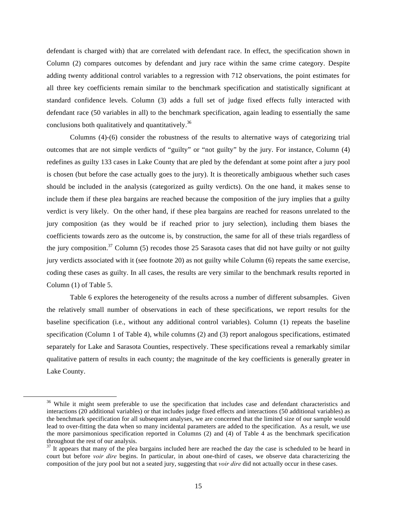defendant is charged with) that are correlated with defendant race. In effect, the specification shown in Column (2) compares outcomes by defendant and jury race within the same crime category. Despite adding twenty additional control variables to a regression with 712 observations, the point estimates for all three key coefficients remain similar to the benchmark specification and statistically significant at standard confidence levels. Column (3) adds a full set of judge fixed effects fully interacted with defendant race (50 variables in all) to the benchmark specification, again leading to essentially the same conclusions both qualitatively and quantitatively.<sup>36</sup>

Columns (4)-(6) consider the robustness of the results to alternative ways of categorizing trial outcomes that are not simple verdicts of "guilty" or "not guilty" by the jury. For instance, Column (4) redefines as guilty 133 cases in Lake County that are pled by the defendant at some point after a jury pool is chosen (but before the case actually goes to the jury). It is theoretically ambiguous whether such cases should be included in the analysis (categorized as guilty verdicts). On the one hand, it makes sense to include them if these plea bargains are reached because the composition of the jury implies that a guilty verdict is very likely. On the other hand, if these plea bargains are reached for reasons unrelated to the jury composition (as they would be if reached prior to jury selection), including them biases the coefficients towards zero as the outcome is, by construction, the same for all of these trials regardless of the jury composition. $37$  Column (5) recodes those 25 Sarasota cases that did not have guilty or not guilty jury verdicts associated with it (see footnote 20) as not guilty while Column (6) repeats the same exercise, coding these cases as guilty. In all cases, the results are very similar to the benchmark results reported in Column (1) of Table 5.

Table 6 explores the heterogeneity of the results across a number of different subsamples. Given the relatively small number of observations in each of these specifications, we report results for the baseline specification (i.e., without any additional control variables). Column (1) repeats the baseline specification (Column 1 of Table 4), while columns (2) and (3) report analogous specifications, estimated separately for Lake and Sarasota Counties, respectively. These specifications reveal a remarkably similar qualitative pattern of results in each county; the magnitude of the key coefficients is generally greater in Lake County.

<sup>&</sup>lt;sup>36</sup> While it might seem preferable to use the specification that includes case and defendant characteristics and interactions (20 additional variables) or that includes judge fixed effects and interactions (50 additional variables) as the benchmark specification for all subsequent analyses, we are concerned that the limited size of our sample would lead to over-fitting the data when so many incidental parameters are added to the specification. As a result, we use the more parsimonious specification reported in Columns (2) and (4) of Table 4 as the benchmark specification throughout the rest of our analysis.

 $37$  It appears that many of the plea bargains included here are reached the day the case is scheduled to be heard in court but before *voir dire* begins. In particular, in about one-third of cases, we observe data characterizing the composition of the jury pool but not a seated jury, suggesting that *voir dire* did not actually occur in these cases.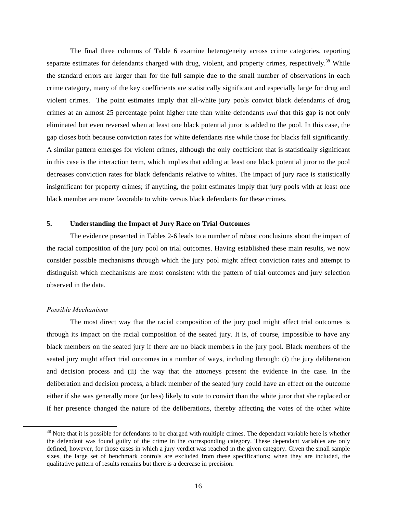The final three columns of Table 6 examine heterogeneity across crime categories, reporting separate estimates for defendants charged with drug, violent, and property crimes, respectively.<sup>38</sup> While the standard errors are larger than for the full sample due to the small number of observations in each crime category, many of the key coefficients are statistically significant and especially large for drug and violent crimes. The point estimates imply that all-white jury pools convict black defendants of drug crimes at an almost 25 percentage point higher rate than white defendants *and* that this gap is not only eliminated but even reversed when at least one black potential juror is added to the pool. In this case, the gap closes both because conviction rates for white defendants rise while those for blacks fall significantly. A similar pattern emerges for violent crimes, although the only coefficient that is statistically significant in this case is the interaction term, which implies that adding at least one black potential juror to the pool decreases conviction rates for black defendants relative to whites. The impact of jury race is statistically insignificant for property crimes; if anything, the point estimates imply that jury pools with at least one black member are more favorable to white versus black defendants for these crimes.

#### **5. Understanding the Impact of Jury Race on Trial Outcomes**

The evidence presented in Tables 2-6 leads to a number of robust conclusions about the impact of the racial composition of the jury pool on trial outcomes. Having established these main results, we now consider possible mechanisms through which the jury pool might affect conviction rates and attempt to distinguish which mechanisms are most consistent with the pattern of trial outcomes and jury selection observed in the data.

#### *Possible Mechanisms*

The most direct way that the racial composition of the jury pool might affect trial outcomes is through its impact on the racial composition of the seated jury. It is, of course, impossible to have any black members on the seated jury if there are no black members in the jury pool. Black members of the seated jury might affect trial outcomes in a number of ways, including through: (i) the jury deliberation and decision process and (ii) the way that the attorneys present the evidence in the case. In the deliberation and decision process, a black member of the seated jury could have an effect on the outcome either if she was generally more (or less) likely to vote to convict than the white juror that she replaced or if her presence changed the nature of the deliberations, thereby affecting the votes of the other white

 $38$  Note that it is possible for defendants to be charged with multiple crimes. The dependant variable here is whether the defendant was found guilty of the crime in the corresponding category. These dependant variables are only defined, however, for those cases in which a jury verdict was reached in the given category. Given the small sample sizes, the large set of benchmark controls are excluded from these specifications; when they are included, the qualitative pattern of results remains but there is a decrease in precision.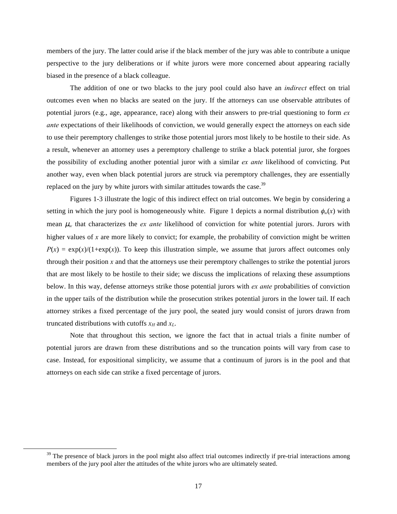members of the jury. The latter could arise if the black member of the jury was able to contribute a unique perspective to the jury deliberations or if white jurors were more concerned about appearing racially biased in the presence of a black colleague.

The addition of one or two blacks to the jury pool could also have an *indirect* effect on trial outcomes even when no blacks are seated on the jury. If the attorneys can use observable attributes of potential jurors (e.g., age, appearance, race) along with their answers to pre-trial questioning to form *ex ante* expectations of their likelihoods of conviction, we would generally expect the attorneys on each side to use their peremptory challenges to strike those potential jurors most likely to be hostile to their side. As a result, whenever an attorney uses a peremptory challenge to strike a black potential juror, she forgoes the possibility of excluding another potential juror with a similar *ex ante* likelihood of convicting. Put another way, even when black potential jurors are struck via peremptory challenges, they are essentially replaced on the jury by white jurors with similar attitudes towards the case.<sup>39</sup>

Figures 1-3 illustrate the logic of this indirect effect on trial outcomes. We begin by considering a setting in which the jury pool is homogeneously white. Figure 1 depicts a normal distribution  $\phi_w(x)$  with mean  $\mu_w$  that characterizes the *ex ante* likelihood of conviction for white potential jurors. Jurors with higher values of x are more likely to convict; for example, the probability of conviction might be written  $P(x) = \exp(x)/(1+\exp(x))$ . To keep this illustration simple, we assume that jurors affect outcomes only through their position *x* and that the attorneys use their peremptory challenges to strike the potential jurors that are most likely to be hostile to their side; we discuss the implications of relaxing these assumptions below. In this way, defense attorneys strike those potential jurors with *ex ante* probabilities of conviction in the upper tails of the distribution while the prosecution strikes potential jurors in the lower tail. If each attorney strikes a fixed percentage of the jury pool, the seated jury would consist of jurors drawn from truncated distributions with cutoffs  $x_H$  and  $x_L$ .

Note that throughout this section, we ignore the fact that in actual trials a finite number of potential jurors are drawn from these distributions and so the truncation points will vary from case to case. Instead, for expositional simplicity, we assume that a continuum of jurors is in the pool and that attorneys on each side can strike a fixed percentage of jurors.

 $39$  The presence of black jurors in the pool might also affect trial outcomes indirectly if pre-trial interactions among members of the jury pool alter the attitudes of the white jurors who are ultimately seated.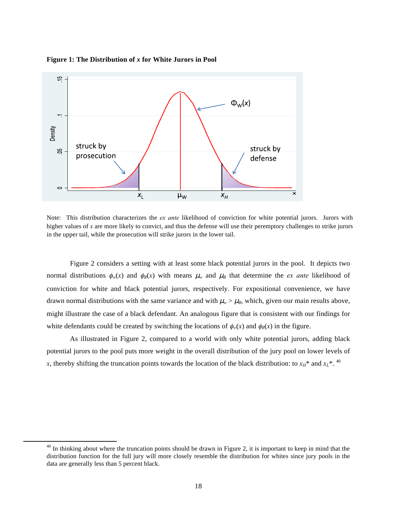



Note: This distribution characterizes the *ex ante* likelihood of conviction for white potential jurors. Jurors with higher values of x are more likely to convict, and thus the defense will use their peremptory challenges to strike jurors in the upper tail, while the prosecution will strike jurors in the lower tail.

Figure 2 considers a setting with at least some black potential jurors in the pool. It depicts two normal distributions  $\phi_w(x)$  and  $\phi_B(x)$  with means  $\mu_w$  and  $\mu_B$  that determine the *ex ante* likelihood of conviction for white and black potential jurors, respectively. For expositional convenience, we have drawn normal distributions with the same variance and with  $\mu_w > \mu_B$ , which, given our main results above, might illustrate the case of a black defendant. An analogous figure that is consistent with our findings for white defendants could be created by switching the locations of  $\phi_w(x)$  and  $\phi_B(x)$  in the figure.

As illustrated in Figure 2, compared to a world with only white potential jurors, adding black potential jurors to the pool puts more weight in the overall distribution of the jury pool on lower levels of *x*, thereby shifting the truncation points towards the location of the black distribution: to  $x_H$ <sup>\*</sup> and  $x_L$ <sup>\*</sup>. <sup>40</sup>

 $40$  In thinking about where the truncation points should be drawn in Figure 2, it is important to keep in mind that the distribution function for the full jury will more closely resemble the distribution for whites since jury pools in the data are generally less than 5 percent black.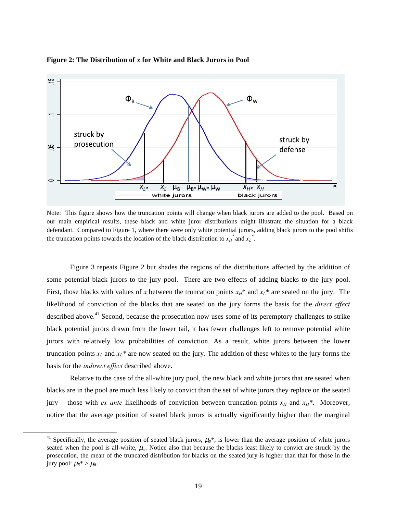

**Figure 2: The Distribution of** *x* **for White and Black Jurors in Pool**

Note: This figure shows how the truncation points will change when black jurors are added to the pool. Based on our main empirical results, these black and white juror distributions might illustrate the situation for a black defendant. Compared to Figure 1, where there were only white potential jurors, adding black jurors to the pool shifts the truncation points towards the location of the black distribution to  $x_H^*$  and  $x_L^*$ .

Figure 3 repeats Figure 2 but shades the regions of the distributions affected by the addition of some potential black jurors to the jury pool. There are two effects of adding blacks to the jury pool. First, those blacks with values of *x* between the truncation points  $x_H^*$  and  $x_L^*$  are seated on the jury. The likelihood of conviction of the blacks that are seated on the jury forms the basis for the *direct effect* described above.<sup>41</sup> Second, because the prosecution now uses some of its peremptory challenges to strike black potential jurors drawn from the lower tail, it has fewer challenges left to remove potential white jurors with relatively low probabilities of conviction. As a result, white jurors between the lower truncation points  $x_L$  and  $x_L^*$  are now seated on the jury. The addition of these whites to the jury forms the basis for the *indirect effect* described above.

Relative to the case of the all-white jury pool, the new black and white jurors that are seated when blacks are in the pool are much less likely to convict than the set of white jurors they replace on the seated jury – those with *ex ante* likelihoods of conviction between truncation points  $x_H$  and  $x_H^*$ . Moreover, notice that the average position of seated black jurors is actually significantly higher than the marginal

<sup>&</sup>lt;sup>41</sup> Specifically, the average position of seated black jurors,  $\mu_B^*$ , is lower than the average position of white jurors seated when the pool is all-white,  $\mu_w$ . Notice also that because the blacks least likely to convict are struck by the prosecution, the mean of the truncated distribution for blacks on the seated jury is higher than that for those in the jury pool:  $\mu_B^* > \mu_B$ .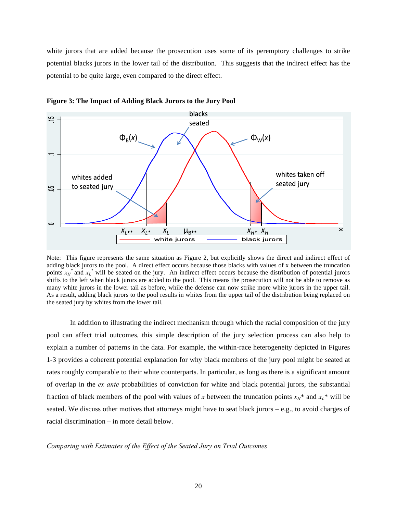white jurors that are added because the prosecution uses some of its peremptory challenges to strike potential blacks jurors in the lower tail of the distribution. This suggests that the indirect effect has the potential to be quite large, even compared to the direct effect.



**Figure 3: The Impact of Adding Black Jurors to the Jury Pool**

Note: This figure represents the same situation as Figure 2, but explicitly shows the direct and indirect effect of adding black jurors to the pool. A direct effect occurs because those blacks with values of x between the truncation points  $x_H^*$  and  $x_L^*$  will be seated on the jury. An indirect effect occurs because the distribution of potential jurors shifts to the left when black jurors are added to the pool. This means the prosecution will not be able to remove as many white jurors in the lower tail as before, while the defense can now strike more white jurors in the upper tail. As a result, adding black jurors to the pool results in whites from the upper tail of the distribution being replaced on the seated jury by whites from the lower tail.

In addition to illustrating the indirect mechanism through which the racial composition of the jury pool can affect trial outcomes, this simple description of the jury selection process can also help to explain a number of patterns in the data. For example, the within-race heterogeneity depicted in Figures 1-3 provides a coherent potential explanation for why black members of the jury pool might be seated at rates roughly comparable to their white counterparts. In particular, as long as there is a significant amount of overlap in the *ex ante* probabilities of conviction for white and black potential jurors, the substantial fraction of black members of the pool with values of *x* between the truncation points  $x_H^*$  and  $x_L^*$  will be seated. We discuss other motives that attorneys might have to seat black jurors – e.g., to avoid charges of racial discrimination – in more detail below.

*Comparing with Estimates of the Effect of the Seated Jury on Trial Outcomes*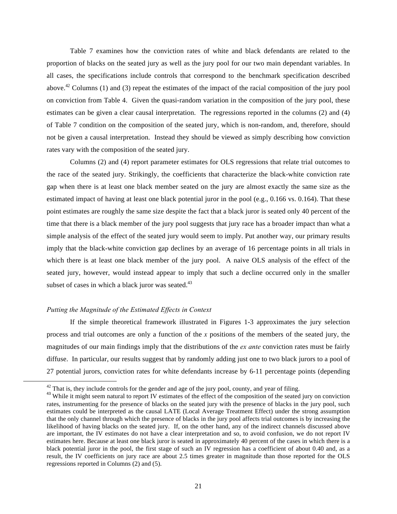Table 7 examines how the conviction rates of white and black defendants are related to the proportion of blacks on the seated jury as well as the jury pool for our two main dependant variables. In all cases, the specifications include controls that correspond to the benchmark specification described above.<sup>42</sup> Columns (1) and (3) repeat the estimates of the impact of the racial composition of the jury pool on conviction from Table 4. Given the quasi-random variation in the composition of the jury pool, these estimates can be given a clear causal interpretation. The regressions reported in the columns (2) and (4) of Table 7 condition on the composition of the seated jury, which is non-random, and, therefore, should not be given a causal interpretation. Instead they should be viewed as simply describing how conviction rates vary with the composition of the seated jury.

Columns (2) and (4) report parameter estimates for OLS regressions that relate trial outcomes to the race of the seated jury. Strikingly, the coefficients that characterize the black-white conviction rate gap when there is at least one black member seated on the jury are almost exactly the same size as the estimated impact of having at least one black potential juror in the pool (e.g., 0.166 vs. 0.164). That these point estimates are roughly the same size despite the fact that a black juror is seated only 40 percent of the time that there is a black member of the jury pool suggests that jury race has a broader impact than what a simple analysis of the effect of the seated jury would seem to imply. Put another way, our primary results imply that the black-white conviction gap declines by an average of 16 percentage points in all trials in which there is at least one black member of the jury pool. A naive OLS analysis of the effect of the seated jury, however, would instead appear to imply that such a decline occurred only in the smaller subset of cases in which a black juror was seated. $43$ 

#### *Putting the Magnitude of the Estimated Effects in Context*

!!!!!!!!!!!!!!!!!!!!!!!!!!!!!!!!!!!!!!!!!!!!!!!!!!!!!!!!!!!!

If the simple theoretical framework illustrated in Figures 1-3 approximates the jury selection process and trial outcomes are only a function of the *x* positions of the members of the seated jury, the magnitudes of our main findings imply that the distributions of the *ex ante* conviction rates must be fairly diffuse. In particular, our results suggest that by randomly adding just one to two black jurors to a pool of 27 potential jurors, conviction rates for white defendants increase by 6-11 percentage points (depending

 $42$  That is, they include controls for the gender and age of the jury pool, county, and year of filing.

<sup>&</sup>lt;sup>43</sup> While it might seem natural to report IV estimates of the effect of the composition of the seated jury on conviction rates, instrumenting for the presence of blacks on the seated jury with the presence of blacks in the jury pool, such estimates could be interpreted as the causal LATE (Local Average Treatment Effect) under the strong assumption that the only channel through which the presence of blacks in the jury pool affects trial outcomes is by increasing the likelihood of having blacks on the seated jury. If, on the other hand, any of the indirect channels discussed above are important, the IV estimates do not have a clear interpretation and so, to avoid confusion, we do not report IV estimates here. Because at least one black juror is seated in approximately 40 percent of the cases in which there is a black potential juror in the pool, the first stage of such an IV regression has a coefficient of about 0.40 and, as a result, the IV coefficients on jury race are about 2.5 times greater in magnitude than those reported for the OLS regressions reported in Columns (2) and (5).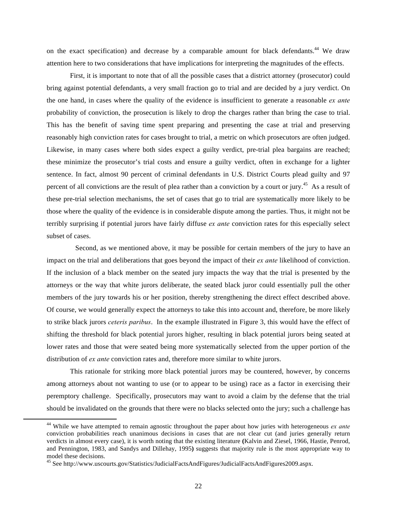on the exact specification) and decrease by a comparable amount for black defendants.<sup>44</sup> We draw attention here to two considerations that have implications for interpreting the magnitudes of the effects.

First, it is important to note that of all the possible cases that a district attorney (prosecutor) could bring against potential defendants, a very small fraction go to trial and are decided by a jury verdict. On the one hand, in cases where the quality of the evidence is insufficient to generate a reasonable *ex ante* probability of conviction, the prosecution is likely to drop the charges rather than bring the case to trial. This has the benefit of saving time spent preparing and presenting the case at trial and preserving reasonably high conviction rates for cases brought to trial, a metric on which prosecutors are often judged. Likewise, in many cases where both sides expect a guilty verdict, pre-trial plea bargains are reached; these minimize the prosecutor's trial costs and ensure a guilty verdict, often in exchange for a lighter sentence. In fact, almost 90 percent of criminal defendants in U.S. District Courts plead guilty and 97 percent of all convictions are the result of plea rather than a conviction by a court or jury.<sup>45</sup> As a result of these pre-trial selection mechanisms, the set of cases that go to trial are systematically more likely to be those where the quality of the evidence is in considerable dispute among the parties. Thus, it might not be terribly surprising if potential jurors have fairly diffuse *ex ante* conviction rates for this especially select subset of cases.

 Second, as we mentioned above, it may be possible for certain members of the jury to have an impact on the trial and deliberations that goes beyond the impact of their *ex ante* likelihood of conviction. If the inclusion of a black member on the seated jury impacts the way that the trial is presented by the attorneys or the way that white jurors deliberate, the seated black juror could essentially pull the other members of the jury towards his or her position, thereby strengthening the direct effect described above. Of course, we would generally expect the attorneys to take this into account and, therefore, be more likely to strike black jurors *ceteris paribus*. In the example illustrated in Figure 3, this would have the effect of shifting the threshold for black potential jurors higher, resulting in black potential jurors being seated at lower rates and those that were seated being more systematically selected from the upper portion of the distribution of *ex ante* conviction rates and, therefore more similar to white jurors.

This rationale for striking more black potential jurors may be countered, however, by concerns among attorneys about not wanting to use (or to appear to be using) race as a factor in exercising their peremptory challenge. Specifically, prosecutors may want to avoid a claim by the defense that the trial should be invalidated on the grounds that there were no blacks selected onto the jury; such a challenge has

<sup>44</sup> While we have attempted to remain agnostic throughout the paper about how juries with heterogeneous *ex ante* conviction probabilities reach unanimous decisions in cases that are not clear cut (and juries generally return verdicts in almost every case), it is worth noting that the existing literature **(**Kalvin and Ziesel, 1966, Hastie, Penrod, and Pennington, 1983, and Sandys and Dillehay, 1995**)** suggests that majority rule is the most appropriate way to model these decisions.<br><sup>45</sup> See http://www.uscourts.gov/Statistics/JudicialFactsAndFigures/JudicialFactsAndFigures2009.aspx.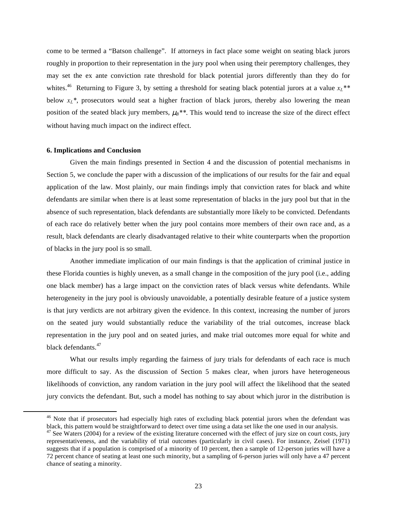come to be termed a "Batson challenge". If attorneys in fact place some weight on seating black jurors roughly in proportion to their representation in the jury pool when using their peremptory challenges, they may set the ex ante conviction rate threshold for black potential jurors differently than they do for whites.<sup>46</sup> Returning to Figure 3, by setting a threshold for seating black potential jurors at a value  $x_L^{**}$ below  $x<sub>L</sub>$ <sup>\*</sup>, prosecutors would seat a higher fraction of black jurors, thereby also lowering the mean position of the seated black jury members,  $\mu_B^{**}$ . This would tend to increase the size of the direct effect without having much impact on the indirect effect.

#### **6. Implications and Conclusion**

!!!!!!!!!!!!!!!!!!!!!!!!!!!!!!!!!!!!!!!!!!!!!!!!!!!!!!!!!!!!

Given the main findings presented in Section 4 and the discussion of potential mechanisms in Section 5, we conclude the paper with a discussion of the implications of our results for the fair and equal application of the law. Most plainly, our main findings imply that conviction rates for black and white defendants are similar when there is at least some representation of blacks in the jury pool but that in the absence of such representation, black defendants are substantially more likely to be convicted. Defendants of each race do relatively better when the jury pool contains more members of their own race and, as a result, black defendants are clearly disadvantaged relative to their white counterparts when the proportion of blacks in the jury pool is so small.

Another immediate implication of our main findings is that the application of criminal justice in these Florida counties is highly uneven, as a small change in the composition of the jury pool (i.e., adding one black member) has a large impact on the conviction rates of black versus white defendants. While heterogeneity in the jury pool is obviously unavoidable, a potentially desirable feature of a justice system is that jury verdicts are not arbitrary given the evidence. In this context, increasing the number of jurors on the seated jury would substantially reduce the variability of the trial outcomes, increase black representation in the jury pool and on seated juries, and make trial outcomes more equal for white and black defendants.<sup>47</sup>

What our results imply regarding the fairness of jury trials for defendants of each race is much more difficult to say. As the discussion of Section 5 makes clear, when jurors have heterogeneous likelihoods of conviction, any random variation in the jury pool will affect the likelihood that the seated jury convicts the defendant. But, such a model has nothing to say about which juror in the distribution is

 $46$  Note that if prosecutors had especially high rates of excluding black potential jurors when the defendant was black, this pattern would be straightforward to detect over time using a data set like the one used in our

 $47$  See Waters (2004) for a review of the existing literature concerned with the effect of jury size on court costs, jury representativeness, and the variability of trial outcomes (particularly in civil cases). For instance, Zeisel (1971) suggests that if a population is comprised of a minority of 10 percent, then a sample of 12-person juries will have a 72 percent chance of seating at least one such minority, but a sampling of 6-person juries will only have a 47 percent chance of seating a minority.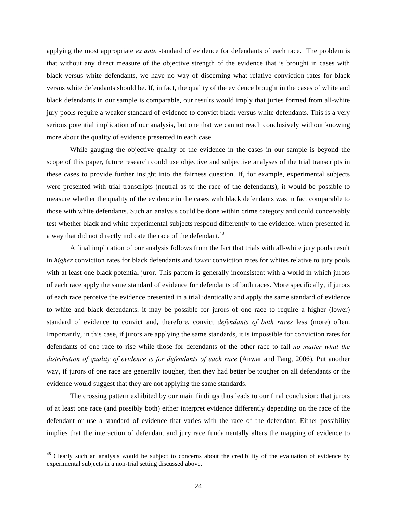applying the most appropriate *ex ante* standard of evidence for defendants of each race. The problem is that without any direct measure of the objective strength of the evidence that is brought in cases with black versus white defendants, we have no way of discerning what relative conviction rates for black versus white defendants should be. If, in fact, the quality of the evidence brought in the cases of white and black defendants in our sample is comparable, our results would imply that juries formed from all-white jury pools require a weaker standard of evidence to convict black versus white defendants. This is a very serious potential implication of our analysis, but one that we cannot reach conclusively without knowing more about the quality of evidence presented in each case.

While gauging the objective quality of the evidence in the cases in our sample is beyond the scope of this paper, future research could use objective and subjective analyses of the trial transcripts in these cases to provide further insight into the fairness question. If, for example, experimental subjects were presented with trial transcripts (neutral as to the race of the defendants), it would be possible to measure whether the quality of the evidence in the cases with black defendants was in fact comparable to those with white defendants. Such an analysis could be done within crime category and could conceivably test whether black and white experimental subjects respond differently to the evidence, when presented in a way that did not directly indicate the race of the defendant.<sup>48</sup>

A final implication of our analysis follows from the fact that trials with all-white jury pools result in *higher* conviction rates for black defendants and *lower* conviction rates for whites relative to jury pools with at least one black potential juror. This pattern is generally inconsistent with a world in which jurors of each race apply the same standard of evidence for defendants of both races. More specifically, if jurors of each race perceive the evidence presented in a trial identically and apply the same standard of evidence to white and black defendants, it may be possible for jurors of one race to require a higher (lower) standard of evidence to convict and, therefore, convict *defendants of both races* less (more) often. Importantly, in this case, if jurors are applying the same standards, it is impossible for conviction rates for defendants of one race to rise while those for defendants of the other race to fall *no matter what the distribution of quality of evidence is for defendants of each race* (Anwar and Fang, 2006). Put another way, if jurors of one race are generally tougher, then they had better be tougher on all defendants or the evidence would suggest that they are not applying the same standards.

The crossing pattern exhibited by our main findings thus leads to our final conclusion: that jurors of at least one race (and possibly both) either interpret evidence differently depending on the race of the defendant or use a standard of evidence that varies with the race of the defendant. Either possibility implies that the interaction of defendant and jury race fundamentally alters the mapping of evidence to

<sup>&</sup>lt;sup>48</sup> Clearly such an analysis would be subject to concerns about the credibility of the evaluation of evidence by experimental subjects in a non-trial setting discussed above.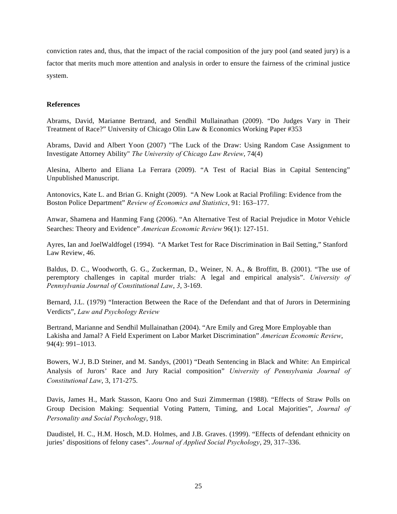conviction rates and, thus, that the impact of the racial composition of the jury pool (and seated jury) is a factor that merits much more attention and analysis in order to ensure the fairness of the criminal justice system.

### **References**

Abrams, David, Marianne Bertrand, and Sendhil Mullainathan (2009). "Do Judges Vary in Their Treatment of Race?" University of Chicago Olin Law & Economics Working Paper #353

Abrams, David and Albert Yoon (2007) "The Luck of the Draw: Using Random Case Assignment to Investigate Attorney Ability" *The University of Chicago Law Review*, 74(4)

Alesina, Alberto and Eliana La Ferrara (2009). "A Test of Racial Bias in Capital Sentencing" Unpublished Manuscript.

Antonovics, Kate L. and Brian G. Knight (2009). "A New Look at Racial Profiling: Evidence from the Boston Police Department" *Review of Economics and Statistics*, 91: 163–177.

Anwar, Shamena and Hanming Fang (2006). "An Alternative Test of Racial Prejudice in Motor Vehicle Searches: Theory and Evidence" *American Economic Review* 96(1): 127-151.

Ayres, Ian and JoelWaldfogel (1994). "A Market Test for Race Discrimination in Bail Setting," Stanford Law Review, 46.

Baldus, D. C., Woodworth, G. G., Zuckerman, D., Weiner, N. A., & Broffitt, B. (2001). "The use of peremptory challenges in capital murder trials: A legal and empirical analysis". *University of Pennsylvania Journal of Constitutional Law*, *3*, 3-169.

Bernard, J.L. (1979) "Interaction Between the Race of the Defendant and that of Jurors in Determining Verdicts", *Law and Psychology Review*

Bertrand, Marianne and Sendhil Mullainathan (2004). "Are Emily and Greg More Employable than Lakisha and Jamal? A Field Experiment on Labor Market Discrimination" *American Economic Review*, 94(4): 991–1013.

Bowers, W.J, B.D Steiner, and M. Sandys, (2001) "Death Sentencing in Black and White: An Empirical Analysis of Jurors' Race and Jury Racial composition" *University of Pennsylvania Journal of Constitutional Law*, 3, 171-275.

Davis, James H., Mark Stasson, Kaoru Ono and Suzi Zimmerman (1988). "Effects of Straw Polls on Group Decision Making: Sequential Voting Pattern, Timing, and Local Majorities", *Journal of Personality and Social Psychology*, 918.

Daudistel, H. C., H.M. Hosch, M.D. Holmes, and J.B. Graves. (1999). "Effects of defendant ethnicity on juries' dispositions of felony cases". *Journal of Applied Social Psychology*, 29, 317–336.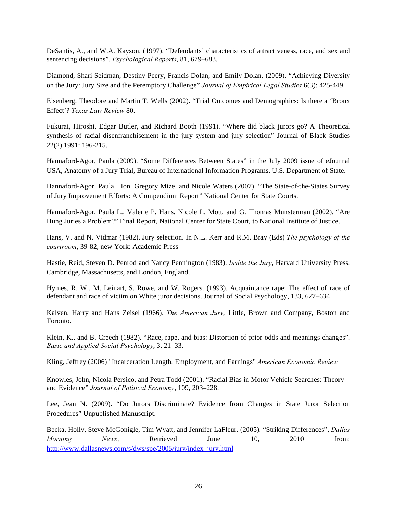DeSantis, A., and W.A. Kayson, (1997). "Defendants' characteristics of attractiveness, race, and sex and sentencing decisions". *Psychological Reports*, 81, 679–683.

Diamond, Shari Seidman, Destiny Peery, Francis Dolan, and Emily Dolan, (2009). "Achieving Diversity on the Jury: Jury Size and the Peremptory Challenge" *Journal of Empirical Legal Studies* 6(3): 425-449.

Eisenberg, Theodore and Martin T. Wells (2002). "Trial Outcomes and Demographics: Is there a 'Bronx Effect'? *Texas Law Review* 80.

Fukurai, Hiroshi, Edgar Butler, and Richard Booth (1991). "Where did black jurors go? A Theoretical synthesis of racial disenfranchisement in the jury system and jury selection" Journal of Black Studies 22(2) 1991: 196-215.

Hannaford-Agor, Paula (2009). "Some Differences Between States" in the July 2009 issue of eJournal USA, Anatomy of a Jury Trial, Bureau of International Information Programs, U.S. Department of State.

Hannaford-Agor, Paula, Hon. Gregory Mize, and Nicole Waters (2007). "The State-of-the-States Survey of Jury Improvement Efforts: A Compendium Report" National Center for State Courts.

Hannaford-Agor, Paula L., Valerie P. Hans, Nicole L. Mott, and G. Thomas Munsterman (2002). "Are Hung Juries a Problem?" Final Report, National Center for State Court, to National Institute of Justice.

Hans, V. and N. Vidmar (1982). Jury selection. In N.L. Kerr and R.M. Bray (Eds) *The psychology of the courtroom*, 39-82, new York: Academic Press

Hastie, Reid, Steven D. Penrod and Nancy Pennington (1983). *Inside the Jury*, Harvard University Press, Cambridge, Massachusetts, and London, England.

Hymes, R. W., M. Leinart, S. Rowe, and W. Rogers. (1993). Acquaintance rape: The effect of race of defendant and race of victim on White juror decisions. Journal of Social Psychology, 133, 627–634.

Kalven, Harry and Hans Zeisel (1966). *The American Jury,* Little, Brown and Company, Boston and Toronto.

Klein, K., and B. Creech (1982). "Race, rape, and bias: Distortion of prior odds and meanings changes". *Basic and Applied Social Psychology*, 3, 21–33.

Kling, Jeffrey (2006) "Incarceration Length, Employment, and Earnings" *American Economic Review*

Knowles, John, Nicola Persico, and Petra Todd (2001). "Racial Bias in Motor Vehicle Searches: Theory and Evidence" *Journal of Political Economy*, 109, 203–228.

Lee, Jean N. (2009). "Do Jurors Discriminate? Evidence from Changes in State Juror Selection Procedures" Unpublished Manuscript.

Becka, Holly, Steve McGonigle, Tim Wyatt, and Jennifer LaFleur. (2005). "Striking Differences", *Dallas Morning News*, Retrieved June 10, 2010 from: http://www.dallasnews.com/s/dws/spe/2005/jury/index\_jury.html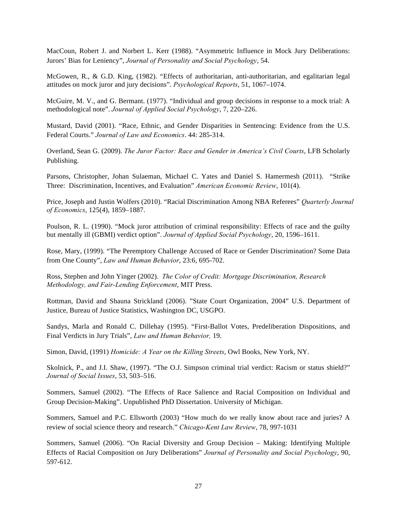MacCoun, Robert J. and Norbert L. Kerr (1988). "Asymmetric Influence in Mock Jury Deliberations: Jurors' Bias for Leniency", *Journal of Personality and Social Psychology*, 54.

McGowen, R., & G.D. King, (1982). "Effects of authoritarian, anti-authoritarian, and egalitarian legal attitudes on mock juror and jury decisions". *Psychological Reports*, 51, 1067–1074.

McGuire, M. V., and G. Bermant. (1977). "Individual and group decisions in response to a mock trial: A methodological note". *Journal of Applied Social Psychology*, 7, 220–226.

Mustard, David (2001). "Race, Ethnic, and Gender Disparities in Sentencing: Evidence from the U.S. Federal Courts." *Journal of Law and Economics*. 44: 285-314.

Overland, Sean G. (2009). *The Juror Factor: Race and Gender in America's Civil Courts*, LFB Scholarly Publishing.

Parsons, Christopher, Johan Sulaeman, Michael C. Yates and Daniel S. Hamermesh (2011). "Strike Three: Discrimination, Incentives, and Evaluation" *American Economic Review*, 101(4).

Price, Joseph and Justin Wolfers (2010). "Racial Discrimination Among NBA Referees" *Quarterly Journal of Economics*, 125(4), 1859–1887.

Poulson, R. L. (1990). "Mock juror attribution of criminal responsibility: Effects of race and the guilty but mentally ill (GBMI) verdict option". *Journal of Applied Social Psychology*, 20, 1596–1611.

Rose, Mary, (1999). "The Peremptory Challenge Accused of Race or Gender Discrimination? Some Data from One County", *Law and Human Behavior*, 23:6, 695-702.

Ross, Stephen and John Yinger (2002). *The Color of Credit: Mortgage Discrimination, Research Methodology, and Fair-Lending Enforcement*, MIT Press.

Rottman, David and Shauna Strickland (2006). "State Court Organization, 2004" U.S. Department of Justice, Bureau of Justice Statistics, Washington DC, USGPO.

Sandys, Marla and Ronald C. Dillehay (1995). "First-Ballot Votes, Predeliberation Dispositions, and Final Verdicts in Jury Trials", *Law and Human Behavior,* 19.

Simon, David, (1991) *Homicide: A Year on the Killing Streets*, Owl Books, New York, NY.

Skolnick, P., and J.I. Shaw, (1997). "The O.J. Simpson criminal trial verdict: Racism or status shield?" *Journal of Social Issues*, 53, 503–516.

Sommers, Samuel (2002). "The Effects of Race Salience and Racial Composition on Individual and Group Decision-Making". Unpublished PhD Dissertation. University of Michigan.

Sommers, Samuel and P.C. Ellsworth (2003) "How much do we really know about race and juries? A review of social science theory and research." *Chicago-Kent Law Review*, 78, 997-1031

Sommers, Samuel (2006). "On Racial Diversity and Group Decision – Making: Identifying Multiple Effects of Racial Composition on Jury Deliberations" *Journal of Personality and Social Psychology*, 90, 597-612.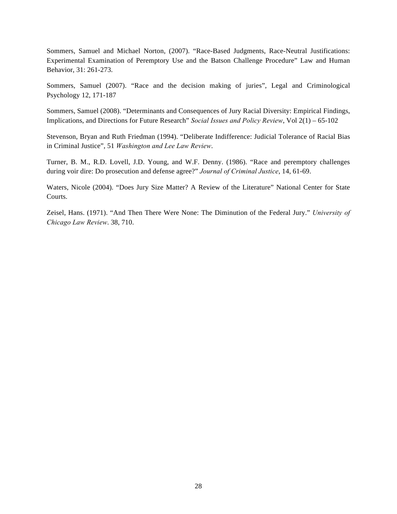Sommers, Samuel and Michael Norton, (2007). "Race-Based Judgments, Race-Neutral Justifications: Experimental Examination of Peremptory Use and the Batson Challenge Procedure" Law and Human Behavior, 31: 261-273.

Sommers, Samuel (2007). "Race and the decision making of juries", Legal and Criminological Psychology 12, 171-187

Sommers, Samuel (2008). "Determinants and Consequences of Jury Racial Diversity: Empirical Findings, Implications, and Directions for Future Research" *Social Issues and Policy Review*, Vol 2(1) – 65-102

Stevenson, Bryan and Ruth Friedman (1994). "Deliberate Indifference: Judicial Tolerance of Racial Bias in Criminal Justice", 51 *Washington and Lee Law Review*.

Turner, B. M., R.D. Lovell, J.D. Young, and W.F. Denny. (1986). "Race and peremptory challenges during voir dire: Do prosecution and defense agree?" *Journal of Criminal Justice*, 14, 61-69.

Waters, Nicole (2004). "Does Jury Size Matter? A Review of the Literature" National Center for State Courts.

Zeisel, Hans. (1971). "And Then There Were None: The Diminution of the Federal Jury." *University of Chicago Law Review*. 38, 710.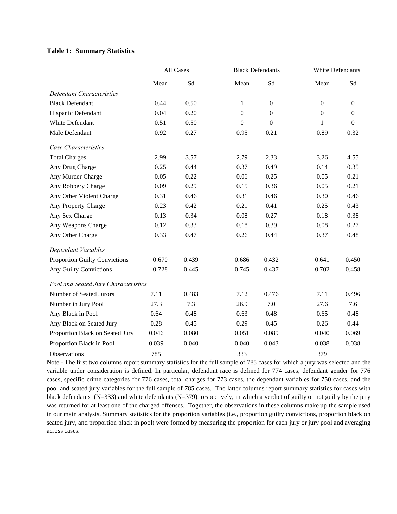#### **Table 1: Summary Statistics**

|                                      |       | All Cases | <b>Black Defendants</b> |                  | White Defendants |              |
|--------------------------------------|-------|-----------|-------------------------|------------------|------------------|--------------|
|                                      | Mean  | Sd        | Mean                    | Sd               | Mean             | Sd           |
| Defendant Characteristics            |       |           |                         |                  |                  |              |
| <b>Black Defendant</b>               | 0.44  | 0.50      | 1                       | $\boldsymbol{0}$ | $\overline{0}$   | $\theta$     |
| Hispanic Defendant                   | 0.04  | 0.20      | $\boldsymbol{0}$        | $\boldsymbol{0}$ | $\boldsymbol{0}$ | $\mathbf{0}$ |
| White Defendant                      | 0.51  | 0.50      | $\Omega$                | $\Omega$         | 1                | $\theta$     |
| Male Defendant                       | 0.92  | 0.27      | 0.95                    | 0.21             | 0.89             | 0.32         |
| Case Characteristics                 |       |           |                         |                  |                  |              |
| <b>Total Charges</b>                 | 2.99  | 3.57      | 2.79                    | 2.33             | 3.26             | 4.55         |
| Any Drug Charge                      | 0.25  | 0.44      | 0.37                    | 0.49             | 0.14             | 0.35         |
| Any Murder Charge                    | 0.05  | 0.22      | 0.06                    | 0.25             | 0.05             | 0.21         |
| Any Robbery Charge                   | 0.09  | 0.29      | 0.15                    | 0.36             | 0.05             | 0.21         |
| Any Other Violent Charge             | 0.31  | 0.46      | 0.31                    | 0.46             | 0.30             | 0.46         |
| Any Property Charge                  | 0.23  | 0.42      | 0.21                    | 0.41             | 0.25             | 0.43         |
| Any Sex Charge                       | 0.13  | 0.34      | 0.08                    | 0.27             | 0.18             | 0.38         |
| Any Weapons Charge                   | 0.12  | 0.33      | 0.18                    | 0.39             | 0.08             | 0.27         |
| Any Other Charge                     | 0.33  | 0.47      | 0.26                    | 0.44             | 0.37             | 0.48         |
| Dependant Variables                  |       |           |                         |                  |                  |              |
| Proportion Guilty Convictions        | 0.670 | 0.439     | 0.686                   | 0.432            | 0.641            | 0.450        |
| Any Guilty Convictions               | 0.728 | 0.445     | 0.745                   | 0.437            | 0.702            | 0.458        |
| Pool and Seated Jury Characteristics |       |           |                         |                  |                  |              |
| Number of Seated Jurors              | 7.11  | 0.483     | 7.12                    | 0.476            | 7.11             | 0.496        |
| Number in Jury Pool                  | 27.3  | 7.3       | 26.9                    | 7.0              | 27.6             | 7.6          |
| Any Black in Pool                    | 0.64  | 0.48      | 0.63                    | 0.48             | 0.65             | 0.48         |
| Any Black on Seated Jury             | 0.28  | 0.45      | 0.29                    | 0.45             | 0.26             | 0.44         |
| Proportion Black on Seated Jury      | 0.046 | 0.080     | 0.051                   | 0.089            | 0.040            | 0.069        |
| Proportion Black in Pool             | 0.039 | 0.040     | 0.040                   | 0.043            | 0.038            | 0.038        |
| <b>Observations</b>                  | 785   |           | 333                     |                  | 379              |              |

Note - The first two columns report summary statistics for the full sample of 785 cases for which a jury was selected and the variable under consideration is defined. In particular, defendant race is defined for 774 cases, defendant gender for 776 cases, specific crime categories for 776 cases, total charges for 773 cases, the dependant variables for 750 cases, and the pool and seated jury variables for the full sample of 785 cases. The latter columns report summary statistics for cases with black defendants (N=333) and white defendants (N=379), respectively, in which a verdict of guilty or not guilty by the jury was returned for at least one of the charged offenses. Together, the observations in these columns make up the sample used in our main analysis. Summary statistics for the proportion variables (i.e., proportion guilty convictions, proportion black on seated jury, and proportion black in pool) were formed by measuring the proportion for each jury or jury pool and averaging across cases.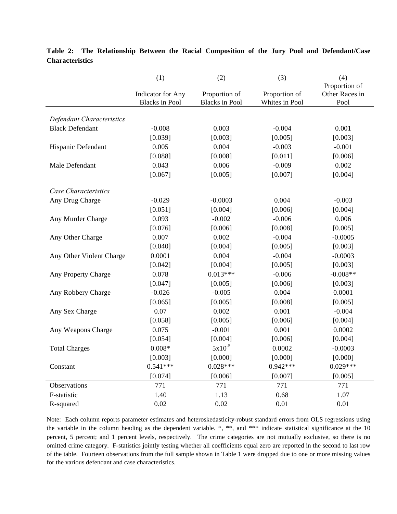| Proportion of<br>Other Races in<br>Proportion of<br>Proportion of<br><b>Indicator</b> for Any<br><b>Blacks</b> in Pool<br>Whites in Pool<br><b>Blacks</b> in Pool<br>Pool<br>Defendant Characteristics<br><b>Black Defendant</b><br>0.003<br>0.001<br>$-0.008$<br>$-0.004$<br>[0.039]<br>[0.003]<br>[0.005]<br>[0.003]<br>0.005<br>0.004<br>$-0.003$<br>$-0.001$<br>Hispanic Defendant<br>[0.088]<br>[0.008]<br>[0.011]<br>[0.006]<br>0.043<br>0.006<br>$-0.009$<br>0.002<br>Male Defendant<br>[0.004]<br>[0.067]<br>[0.005]<br>[0.007]<br>Case Characteristics<br>$-0.0003$<br>0.004<br>Any Drug Charge<br>$-0.029$<br>$-0.003$ | (1) | (2) | (3) | (4) |
|----------------------------------------------------------------------------------------------------------------------------------------------------------------------------------------------------------------------------------------------------------------------------------------------------------------------------------------------------------------------------------------------------------------------------------------------------------------------------------------------------------------------------------------------------------------------------------------------------------------------------------|-----|-----|-----|-----|
|                                                                                                                                                                                                                                                                                                                                                                                                                                                                                                                                                                                                                                  |     |     |     |     |
|                                                                                                                                                                                                                                                                                                                                                                                                                                                                                                                                                                                                                                  |     |     |     |     |
|                                                                                                                                                                                                                                                                                                                                                                                                                                                                                                                                                                                                                                  |     |     |     |     |
|                                                                                                                                                                                                                                                                                                                                                                                                                                                                                                                                                                                                                                  |     |     |     |     |
|                                                                                                                                                                                                                                                                                                                                                                                                                                                                                                                                                                                                                                  |     |     |     |     |
|                                                                                                                                                                                                                                                                                                                                                                                                                                                                                                                                                                                                                                  |     |     |     |     |
|                                                                                                                                                                                                                                                                                                                                                                                                                                                                                                                                                                                                                                  |     |     |     |     |
|                                                                                                                                                                                                                                                                                                                                                                                                                                                                                                                                                                                                                                  |     |     |     |     |
|                                                                                                                                                                                                                                                                                                                                                                                                                                                                                                                                                                                                                                  |     |     |     |     |
|                                                                                                                                                                                                                                                                                                                                                                                                                                                                                                                                                                                                                                  |     |     |     |     |
|                                                                                                                                                                                                                                                                                                                                                                                                                                                                                                                                                                                                                                  |     |     |     |     |
|                                                                                                                                                                                                                                                                                                                                                                                                                                                                                                                                                                                                                                  |     |     |     |     |
| [0.051]<br>[0.004]<br>[0.006]<br>[0.004]                                                                                                                                                                                                                                                                                                                                                                                                                                                                                                                                                                                         |     |     |     |     |
| 0.093<br>$-0.002$<br>$-0.006$<br>0.006<br>Any Murder Charge                                                                                                                                                                                                                                                                                                                                                                                                                                                                                                                                                                      |     |     |     |     |
| [0.006]<br>[0.008]<br>[0.005]<br>[0.076]                                                                                                                                                                                                                                                                                                                                                                                                                                                                                                                                                                                         |     |     |     |     |
| 0.007<br>0.002<br>$-0.004$<br>$-0.0005$<br>Any Other Charge                                                                                                                                                                                                                                                                                                                                                                                                                                                                                                                                                                      |     |     |     |     |
| [0.040]<br>[0.004]<br>[0.005]<br>[0.003]                                                                                                                                                                                                                                                                                                                                                                                                                                                                                                                                                                                         |     |     |     |     |
| 0.0001<br>0.004<br>$-0.004$<br>$-0.0003$<br>Any Other Violent Charge                                                                                                                                                                                                                                                                                                                                                                                                                                                                                                                                                             |     |     |     |     |
| [0.004]<br>[0.003]<br>[0.042]<br>[0.005]                                                                                                                                                                                                                                                                                                                                                                                                                                                                                                                                                                                         |     |     |     |     |
| $0.013***$<br>$-0.006$<br>$-0.008**$<br>Any Property Charge<br>0.078                                                                                                                                                                                                                                                                                                                                                                                                                                                                                                                                                             |     |     |     |     |
| [0.047]<br>[0.005]<br>[0.006]<br>[0.003]                                                                                                                                                                                                                                                                                                                                                                                                                                                                                                                                                                                         |     |     |     |     |
| $-0.005$<br>0.004<br>0.0001<br>Any Robbery Charge<br>$-0.026$                                                                                                                                                                                                                                                                                                                                                                                                                                                                                                                                                                    |     |     |     |     |
| [0.008]<br>[0.065]<br>[0.005]<br>[0.005]                                                                                                                                                                                                                                                                                                                                                                                                                                                                                                                                                                                         |     |     |     |     |
| 0.07<br>0.002<br>0.001<br>$-0.004$<br>Any Sex Charge                                                                                                                                                                                                                                                                                                                                                                                                                                                                                                                                                                             |     |     |     |     |
| [0.005]<br>[0.006]<br>[0.058]<br>[0.004]                                                                                                                                                                                                                                                                                                                                                                                                                                                                                                                                                                                         |     |     |     |     |
| Any Weapons Charge<br>0.075<br>$-0.001$<br>0.001<br>0.0002                                                                                                                                                                                                                                                                                                                                                                                                                                                                                                                                                                       |     |     |     |     |
| [0.004]<br>[0.054]<br>[0.006]<br>[0.004]                                                                                                                                                                                                                                                                                                                                                                                                                                                                                                                                                                                         |     |     |     |     |
| $5x10^{-5}$<br>$0.008*$<br>0.0002<br>$-0.0003$<br><b>Total Charges</b>                                                                                                                                                                                                                                                                                                                                                                                                                                                                                                                                                           |     |     |     |     |
| [0.003]<br>[0.000]<br>[0.000]<br>[0.000]                                                                                                                                                                                                                                                                                                                                                                                                                                                                                                                                                                                         |     |     |     |     |
| $0.029***$<br>$0.541***$<br>$0.028***$<br>$0.942***$<br>Constant                                                                                                                                                                                                                                                                                                                                                                                                                                                                                                                                                                 |     |     |     |     |
| [0.006]<br>[0.005]<br>[0.074]<br>[0.007]                                                                                                                                                                                                                                                                                                                                                                                                                                                                                                                                                                                         |     |     |     |     |
| Observations<br>771<br>771<br>771<br>771                                                                                                                                                                                                                                                                                                                                                                                                                                                                                                                                                                                         |     |     |     |     |
| 1.40<br>0.68<br>1.07<br>F-statistic<br>1.13                                                                                                                                                                                                                                                                                                                                                                                                                                                                                                                                                                                      |     |     |     |     |
| 0.02<br>0.02<br>0.01<br>0.01<br>R-squared                                                                                                                                                                                                                                                                                                                                                                                                                                                                                                                                                                                        |     |     |     |     |

**Table 2: The Relationship Between the Racial Composition of the Jury Pool and Defendant/Case Characteristics**

Note: Each column reports parameter estimates and heteroskedasticity-robust standard errors from OLS regressions using the variable in the column heading as the dependent variable. \*, \*\*, and \*\*\* indicate statistical significance at the 10 percent, 5 percent; and 1 percent levels, respectively. The crime categories are not mutually exclusive, so there is no omitted crime category. F-statistics jointly testing whether all coefficients equal zero are reported in the second to last row of the table. Fourteen observations from the full sample shown in Table 1 were dropped due to one or more missing values for the various defendant and case characteristics.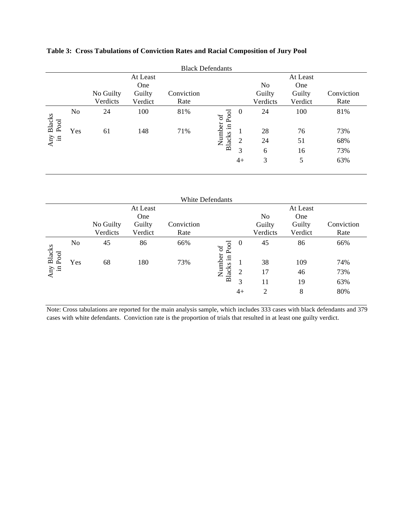|               | <b>Black Defendants</b> |           |          |            |                   |                |                |          |            |
|---------------|-------------------------|-----------|----------|------------|-------------------|----------------|----------------|----------|------------|
|               |                         |           | At Least |            |                   |                |                | At Least |            |
|               |                         |           | One      |            |                   |                | N <sub>o</sub> | One      |            |
|               |                         | No Guilty | Guilty   | Conviction |                   |                | Guilty         | Guilty   | Conviction |
|               |                         | Verdicts  | Verdict  | Rate       |                   |                | Verdicts       | Verdict  | Rate       |
| <b>Blacks</b> | No                      | 24        | 100      | 81%        | Pool<br>Number of | $\overline{0}$ | 24             | 100      | 81%        |
| Pool          | Yes                     | 61        | 148      | 71%        | $\Xi$             |                | 28             | 76       | 73%        |
| Any<br>$\Xi$  |                         |           |          |            | <b>Blacks</b>     | $\overline{2}$ | 24             | 51       | 68%        |
|               |                         |           |          |            |                   | 3              | 6              | 16       | 73%        |
|               |                         |           |          |            |                   | $4+$           | 3              | 5        | 63%        |

**Table 3: Cross Tabulations of Conviction Rates and Racial Composition of Jury Pool**

|               | <b>White Defendants</b> |           |          |            |                    |                |                |          |            |
|---------------|-------------------------|-----------|----------|------------|--------------------|----------------|----------------|----------|------------|
|               |                         |           | At Least |            |                    |                |                | At Least |            |
|               |                         |           | One      |            |                    |                | N <sub>0</sub> | One      |            |
|               |                         | No Guilty | Guilty   | Conviction |                    |                | Guilty         | Guilty   | Conviction |
|               |                         | Verdicts  | Verdict  | Rate       |                    |                | Verdicts       | Verdict  | Rate       |
| <b>Blacks</b> | No                      | 45        | 86       | 66%        | Pool               | $\overline{0}$ | 45             | 86       | 66%        |
| Pool          | Yes                     | 68        | 180      | 73%        | Number of<br>$\Xi$ |                | 38             | 109      | 74%        |
| Any in        |                         |           |          |            | <b>Blacks</b>      | 2              | 17             | 46       | 73%        |
|               |                         |           |          |            |                    | 3              | 11             | 19       | 63%        |
|               |                         |           |          |            |                    | $4+$           | 2              | 8        | 80%        |

Note: Cross tabulations are reported for the main analysis sample, which includes 333 cases with black defendants and 379 cases with white defendants. Conviction rate is the proportion of trials that resulted in at least one guilty verdict.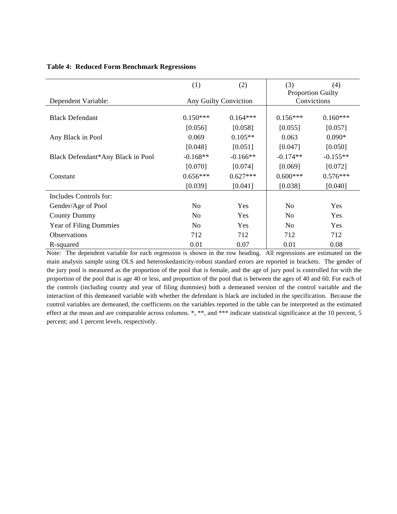|                                   | (1)            | (2)                   | (3)            | (4)                      |
|-----------------------------------|----------------|-----------------------|----------------|--------------------------|
|                                   |                |                       |                | <b>Proportion Guilty</b> |
| Dependent Variable:               |                | Any Guilty Conviction |                | Convictions              |
|                                   |                |                       |                |                          |
| <b>Black Defendant</b>            | $0.150***$     | $0.164***$            | $0.156***$     | $0.160***$               |
|                                   | [0.056]        | [0.058]               | [0.055]        | [0.057]                  |
| Any Black in Pool                 | 0.069          | $0.105**$             | 0.063          | $0.090*$                 |
|                                   | [0.048]        | [0.051]               | [0.047]        | [0.050]                  |
| Black Defendant*Any Black in Pool | $-0.168**$     | $-0.166**$            | $-0.174**$     | $-0.155**$               |
|                                   | [0.070]        | [0.074]               | [0.069]        | [0.072]                  |
| Constant                          | $0.656***$     | $0.627***$            | $0.600***$     | $0.576***$               |
|                                   | [0.039]        | [0.041]               | [0.038]        | [0.040]                  |
| Includes Controls for:            |                |                       |                |                          |
| Gender/Age of Pool                | N <sub>0</sub> | Yes                   | N <sub>0</sub> | Yes                      |
| <b>County Dummy</b>               | N <sub>0</sub> | Yes                   | N <sub>0</sub> | Yes                      |
| <b>Year of Filing Dummies</b>     | N <sub>0</sub> | Yes                   | N <sub>0</sub> | Yes                      |
| <b>Observations</b>               | 712            | 712                   | 712            | 712                      |
| R-squared                         | 0.01           | 0.07                  | 0.01           | 0.08                     |

#### **Table 4: Reduced Form Benchmark Regressions**

Note: The dependent variable for each regression is shown in the row heading. All regressions are estimated on the main analysis sample using OLS and heteroskedasticity-robust standard errors are reported in brackets. The gender of the jury pool is measured as the proportion of the pool that is female, and the age of jury pool is controlled for with the proportion of the pool that is age 40 or less, and proportion of the pool that is between the ages of 40 and 60. For each of the controls (including county and year of filing dummies) both a demeaned version of the control variable and the interaction of this demeaned variable with whether the defendant is black are included in the specification. Because the control variables are demeaned, the coefficients on the variables reported in the table can be interpreted as the estimated effect at the mean and are comparable across columns. \*, \*\*, and \*\*\* indicate statistical significance at the 10 percent, 5 percent; and 1 percent levels, respectively.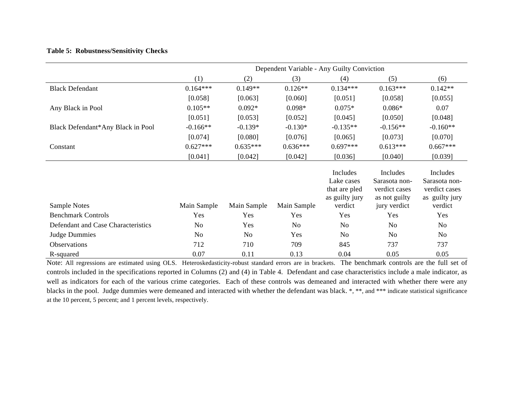## **Table 5: Robustness/Sensitivity Checks**

|                                    |                |                | Dependent Variable - Any Guilty Conviction |                                                           |                                                             |                                                              |
|------------------------------------|----------------|----------------|--------------------------------------------|-----------------------------------------------------------|-------------------------------------------------------------|--------------------------------------------------------------|
|                                    | (1)            | (2)            | (3)                                        | (4)                                                       | (5)                                                         | (6)                                                          |
| <b>Black Defendant</b>             | $0.164***$     | $0.149**$      | $0.126**$                                  | $0.134***$                                                | $0.163***$                                                  | $0.142**$                                                    |
|                                    | [0.058]        | [0.063]        | [0.060]                                    | [0.051]                                                   | [0.058]                                                     | [0.055]                                                      |
| Any Black in Pool                  | $0.105**$      | $0.092*$       | $0.098*$                                   | $0.075*$                                                  | $0.086*$                                                    | 0.07                                                         |
|                                    | [0.051]        | [0.053]        | [0.052]                                    | [0.045]                                                   | [0.050]                                                     | [0.048]                                                      |
| Black Defendant*Any Black in Pool  | $-0.166**$     | $-0.139*$      | $-0.130*$                                  | $-0.135**$                                                | $-0.156**$                                                  | $-0.160**$                                                   |
|                                    | [0.074]        | [0.080]        | [0.076]                                    | [0.065]                                                   | [0.073]                                                     | [0.070]                                                      |
| Constant                           | $0.627***$     | $0.635***$     | $0.636***$                                 | $0.697***$                                                | $0.613***$                                                  | $0.667***$                                                   |
|                                    | [0.041]        | [0.042]        | [0.042]                                    | [0.036]                                                   | [0.040]                                                     | [0.039]                                                      |
|                                    |                |                |                                            | Includes<br>Lake cases<br>that are pled<br>as guilty jury | Includes<br>Sarasota non-<br>verdict cases<br>as not guilty | Includes<br>Sarasota non-<br>verdict cases<br>as guilty jury |
| Sample Notes                       | Main Sample    | Main Sample    | Main Sample                                | verdict                                                   | jury verdict                                                | verdict                                                      |
| <b>Benchmark Controls</b>          | Yes            | Yes            | Yes                                        | Yes                                                       | Yes                                                         | Yes                                                          |
| Defendant and Case Characteristics | N <sub>0</sub> | Yes            | No                                         | N <sub>0</sub>                                            | N <sub>o</sub>                                              | N <sub>0</sub>                                               |
| <b>Judge Dummies</b>               | No             | N <sub>o</sub> | Yes                                        | N <sub>o</sub>                                            | No                                                          | N <sub>0</sub>                                               |
| <b>Observations</b>                | 712            | 710            | 709                                        | 845                                                       | 737                                                         | 737                                                          |
| R-squared                          | 0.07           | 0.11           | 0.13                                       | 0.04                                                      | 0.05                                                        | 0.05                                                         |

Note: All regressions are estimated using OLS. Heteroskedasticity-robust standard errors are in brackets. The benchmark controls are the full set of controls included in the specifications reported in Columns (2) and (4) in Table 4. Defendant and case characteristics include a male indicator, as well as indicators for each of the various crime categories. Each of these controls was demeaned and interacted with whether there were any blacks in the pool. Judge dummies were demeaned and interacted with whether the defendant was black. \*, \*\*, and \*\*\* indicate statistical significance at the 10 percent, 5 percent; and 1 percent levels, respectively.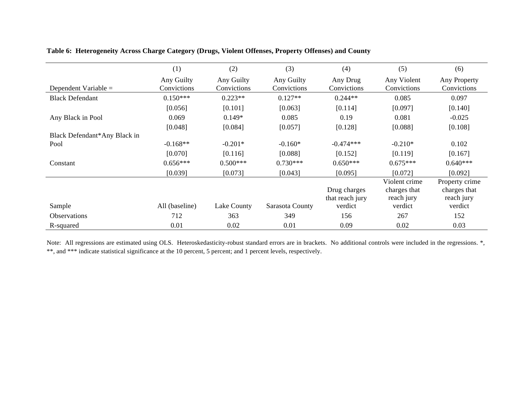## **Table 6: Heterogeneity Across Charge Category (Drugs, Violent Offenses, Property Offenses) and County**

|                              | (1)                       | (2)                       | (3)                       | (4)                     | (5)                        | (6)                         |
|------------------------------|---------------------------|---------------------------|---------------------------|-------------------------|----------------------------|-----------------------------|
| Dependent Variable $=$       | Any Guilty<br>Convictions | Any Guilty<br>Convictions | Any Guilty<br>Convictions | Any Drug<br>Convictions | Any Violent<br>Convictions | Any Property<br>Convictions |
| <b>Black Defendant</b>       | $0.150***$                | $0.223**$                 | $0.127**$                 | $0.244**$               | 0.085                      | 0.097                       |
|                              | [0.056]                   | [0.101]                   | [0.063]                   | [0.114]                 | [0.097]                    | [0.140]                     |
| Any Black in Pool            | 0.069                     | $0.149*$                  | 0.085                     | 0.19                    | 0.081                      | $-0.025$                    |
|                              | [0.048]                   | [0.084]                   | [0.057]                   | [0.128]                 | [0.088]                    | [0.108]                     |
| Black Defendant*Any Black in |                           |                           |                           |                         |                            |                             |
| Pool                         | $-0.168**$                | $-0.201*$                 | $-0.160*$                 | $-0.474***$             | $-0.210*$                  | 0.102                       |
|                              | [0.070]                   | [0.116]                   | [0.088]                   | [0.152]                 | [0.119]                    | [0.167]                     |
| Constant                     | $0.656***$                | $0.500***$                | $0.730***$                | $0.650***$              | $0.675***$                 | $0.640***$                  |
|                              | [0.039]                   | [0.073]                   | [0.043]                   | [0.095]                 | [0.072]                    | [0.092]                     |
|                              |                           |                           |                           |                         | Violent crime              | Property crime              |
|                              |                           |                           |                           | Drug charges            | charges that               | charges that                |
|                              |                           |                           |                           | that reach jury         | reach jury                 | reach jury                  |
| Sample                       | All (baseline)            | Lake County               | Sarasota County           | verdict                 | verdict                    | verdict                     |
| <b>Observations</b>          | 712                       | 363                       | 349                       | 156                     | 267                        | 152                         |
| R-squared                    | 0.01                      | 0.02                      | 0.01                      | 0.09                    | 0.02                       | 0.03                        |

Note: All regressions are estimated using OLS. Heteroskedasticity-robust standard errors are in brackets. No additional controls were included in the regressions. \*, \*\*, and \*\*\* indicate statistical significance at the 10 percent, 5 percent; and 1 percent levels, respectively.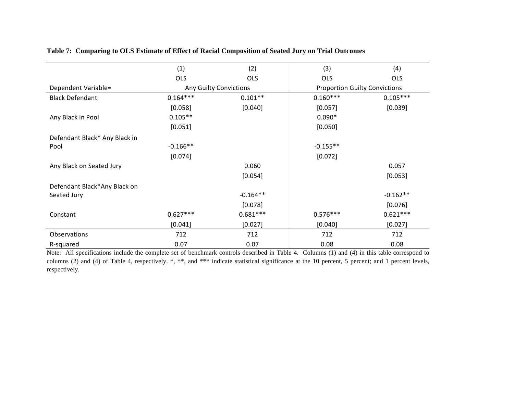|                               | (1)        | (2)                           | (3)                                  | (4)        |
|-------------------------------|------------|-------------------------------|--------------------------------------|------------|
|                               | <b>OLS</b> | <b>OLS</b>                    | <b>OLS</b>                           | <b>OLS</b> |
| Dependent Variable=           |            | <b>Any Guilty Convictions</b> | <b>Proportion Guilty Convictions</b> |            |
| <b>Black Defendant</b>        | $0.164***$ | $0.101**$                     | $0.160***$                           | $0.105***$ |
|                               | [0.058]    | [0.040]                       | [0.057]                              | [0.039]    |
| Any Black in Pool             | $0.105**$  |                               | $0.090*$                             |            |
|                               | [0.051]    |                               | [0.050]                              |            |
| Defendant Black* Any Black in |            |                               |                                      |            |
| Pool                          | $-0.166**$ |                               | $-0.155**$                           |            |
|                               | [0.074]    |                               | [0.072]                              |            |
| Any Black on Seated Jury      |            | 0.060                         |                                      | 0.057      |
|                               |            | [0.054]                       |                                      | [0.053]    |
| Defendant Black*Any Black on  |            |                               |                                      |            |
| Seated Jury                   |            | $-0.164**$                    |                                      | $-0.162**$ |
|                               |            | [0.078]                       |                                      | [0.076]    |
| Constant                      | $0.627***$ | $0.681***$                    | $0.576***$                           | $0.621***$ |
|                               | [0.041]    | [0.027]                       | [0.040]                              | [0.027]    |
| Observations                  | 712        | 712                           | 712                                  | 712        |
| R-squared                     | 0.07       | 0.07                          | 0.08                                 | 0.08       |

## **Table 7: Comparing to OLS Estimate of Effect of Racial Composition of Seated Jury on Trial Outcomes**

Note: All specifications include the complete set of benchmark controls described in Table 4. Columns (1) and (4) in this table correspond to columns (2) and (4) of Table 4, respectively. \*, \*\*, and \*\*\* indicate statistical significance at the 10 percent, 5 percent; and 1 percent levels, respectively.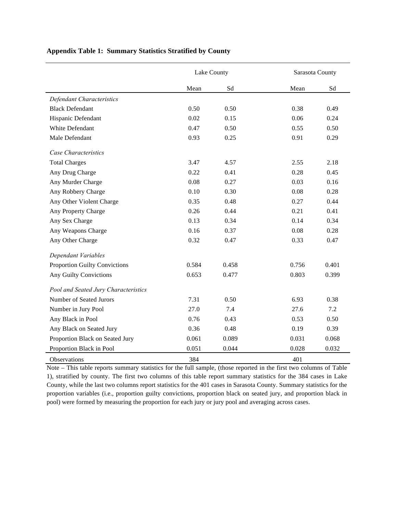|                                      | Lake County |       |       | Sarasota County |
|--------------------------------------|-------------|-------|-------|-----------------|
|                                      | Mean        | Sd    | Mean  | Sd              |
| Defendant Characteristics            |             |       |       |                 |
| <b>Black Defendant</b>               | 0.50        | 0.50  | 0.38  | 0.49            |
| Hispanic Defendant                   | 0.02        | 0.15  | 0.06  | 0.24            |
| White Defendant                      | 0.47        | 0.50  | 0.55  | 0.50            |
| Male Defendant                       | 0.93        | 0.25  | 0.91  | 0.29            |
| Case Characteristics                 |             |       |       |                 |
| <b>Total Charges</b>                 | 3.47        | 4.57  | 2.55  | 2.18            |
| Any Drug Charge                      | 0.22        | 0.41  | 0.28  | 0.45            |
| Any Murder Charge                    | 0.08        | 0.27  | 0.03  | 0.16            |
| Any Robbery Charge                   | 0.10        | 0.30  | 0.08  | 0.28            |
| Any Other Violent Charge             | 0.35        | 0.48  | 0.27  | 0.44            |
| Any Property Charge                  | 0.26        | 0.44  | 0.21  | 0.41            |
| Any Sex Charge                       | 0.13        | 0.34  | 0.14  | 0.34            |
| Any Weapons Charge                   | 0.16        | 0.37  | 0.08  | 0.28            |
| Any Other Charge                     | 0.32        | 0.47  | 0.33  | 0.47            |
| Dependant Variables                  |             |       |       |                 |
| <b>Proportion Guilty Convictions</b> | 0.584       | 0.458 | 0.756 | 0.401           |
| <b>Any Guilty Convictions</b>        | 0.653       | 0.477 | 0.803 | 0.399           |
| Pool and Seated Jury Characteristics |             |       |       |                 |
| Number of Seated Jurors              | 7.31        | 0.50  | 6.93  | 0.38            |
| Number in Jury Pool                  | 27.0        | 7.4   | 27.6  | 7.2             |
| Any Black in Pool                    | 0.76        | 0.43  | 0.53  | 0.50            |
| Any Black on Seated Jury             | 0.36        | 0.48  | 0.19  | 0.39            |
| Proportion Black on Seated Jury      | 0.061       | 0.089 | 0.031 | 0.068           |
| Proportion Black in Pool             | 0.051       | 0.044 | 0.028 | 0.032           |
| <b>Observations</b>                  | 384         |       | 401   |                 |

### **Appendix Table 1: Summary Statistics Stratified by County**

Note – This table reports summary statistics for the full sample, (those reported in the first two columns of Table 1), stratified by county. The first two columns of this table report summary statistics for the 384 cases in Lake County, while the last two columns report statistics for the 401 cases in Sarasota County. Summary statistics for the proportion variables (i.e., proportion guilty convictions, proportion black on seated jury, and proportion black in pool) were formed by measuring the proportion for each jury or jury pool and averaging across cases.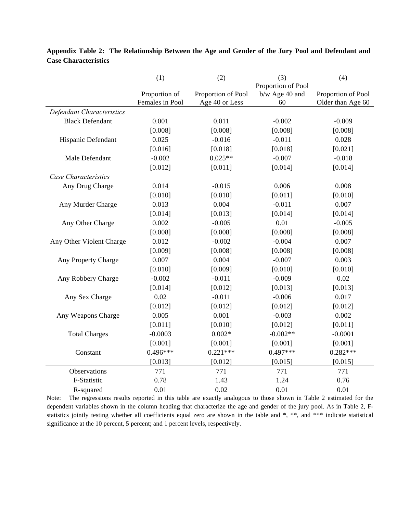|                           | (1)             | (2)                | (3)                | (4)                |
|---------------------------|-----------------|--------------------|--------------------|--------------------|
|                           |                 |                    | Proportion of Pool |                    |
|                           | Proportion of   | Proportion of Pool | b/w Age 40 and     | Proportion of Pool |
|                           | Females in Pool | Age 40 or Less     | 60                 | Older than Age 60  |
| Defendant Characteristics |                 |                    |                    |                    |
| <b>Black Defendant</b>    | 0.001           | 0.011              | $-0.002$           | $-0.009$           |
|                           | [0.008]         | [0.008]            | [0.008]            | [0.008]            |
| Hispanic Defendant        | 0.025           | $-0.016$           | $-0.011$           | 0.028              |
|                           | [0.016]         | [0.018]            | [0.018]            | [0.021]            |
| Male Defendant            | $-0.002$        | $0.025**$          | $-0.007$           | $-0.018$           |
|                           | [0.012]         | [0.011]            | [0.014]            | [0.014]            |
| Case Characteristics      |                 |                    |                    |                    |
| Any Drug Charge           | 0.014           | $-0.015$           | 0.006              | 0.008              |
|                           | [0.010]         | [0.010]            | [0.011]            | [0.010]            |
| Any Murder Charge         | 0.013           | 0.004              | $-0.011$           | 0.007              |
|                           | [0.014]         | [0.013]            | [0.014]            | [0.014]            |
| Any Other Charge          | 0.002           | $-0.005$           | 0.01               | $-0.005$           |
|                           | [0.008]         | [0.008]            | [0.008]            | [0.008]            |
| Any Other Violent Charge  | 0.012           | $-0.002$           | $-0.004$           | 0.007              |
|                           | [0.009]         | [0.008]            | [0.008]            | [0.008]            |
| Any Property Charge       | 0.007           | 0.004              | $-0.007$           | 0.003              |
|                           | [0.010]         | [0.009]            | [0.010]            | [0.010]            |
| Any Robbery Charge        | $-0.002$        | $-0.011$           | $-0.009$           | 0.02               |
|                           | [0.014]         | [0.012]            | [0.013]            | [0.013]            |
| Any Sex Charge            | 0.02            | $-0.011$           | $-0.006$           | 0.017              |
|                           | [0.012]         | [0.012]            | [0.012]            | [0.012]            |
| Any Weapons Charge        | 0.005           | 0.001              | $-0.003$           | 0.002              |
|                           | [0.011]         | [0.010]            | [0.012]            | [0.011]            |
| <b>Total Charges</b>      | $-0.0003$       | $0.002*$           | $-0.002**$         | $-0.0001$          |
|                           | [0.001]         | [0.001]            | [0.001]            | [0.001]            |
| Constant                  | $0.496***$      | $0.221***$         | $0.497***$         | $0.282***$         |
|                           | [0.013]         | [0.012]            | [0.015]            | [0.015]            |
| Observations              | 771             | 771                | 771                | 771                |
| F-Statistic               | 0.78            | 1.43               | 1.24               | 0.76               |
| R-squared                 | 0.01            | 0.02               | 0.01               | 0.01               |

**Appendix Table 2: The Relationship Between the Age and Gender of the Jury Pool and Defendant and Case Characteristics**

Note: The regressions results reported in this table are exactly analogous to those shown in Table 2 estimated for the dependent variables shown in the column heading that characterize the age and gender of the jury pool. As in Table 2, Fstatistics jointly testing whether all coefficients equal zero are shown in the table and \*, \*\*, and \*\*\* indicate statistical significance at the 10 percent, 5 percent; and 1 percent levels, respectively.